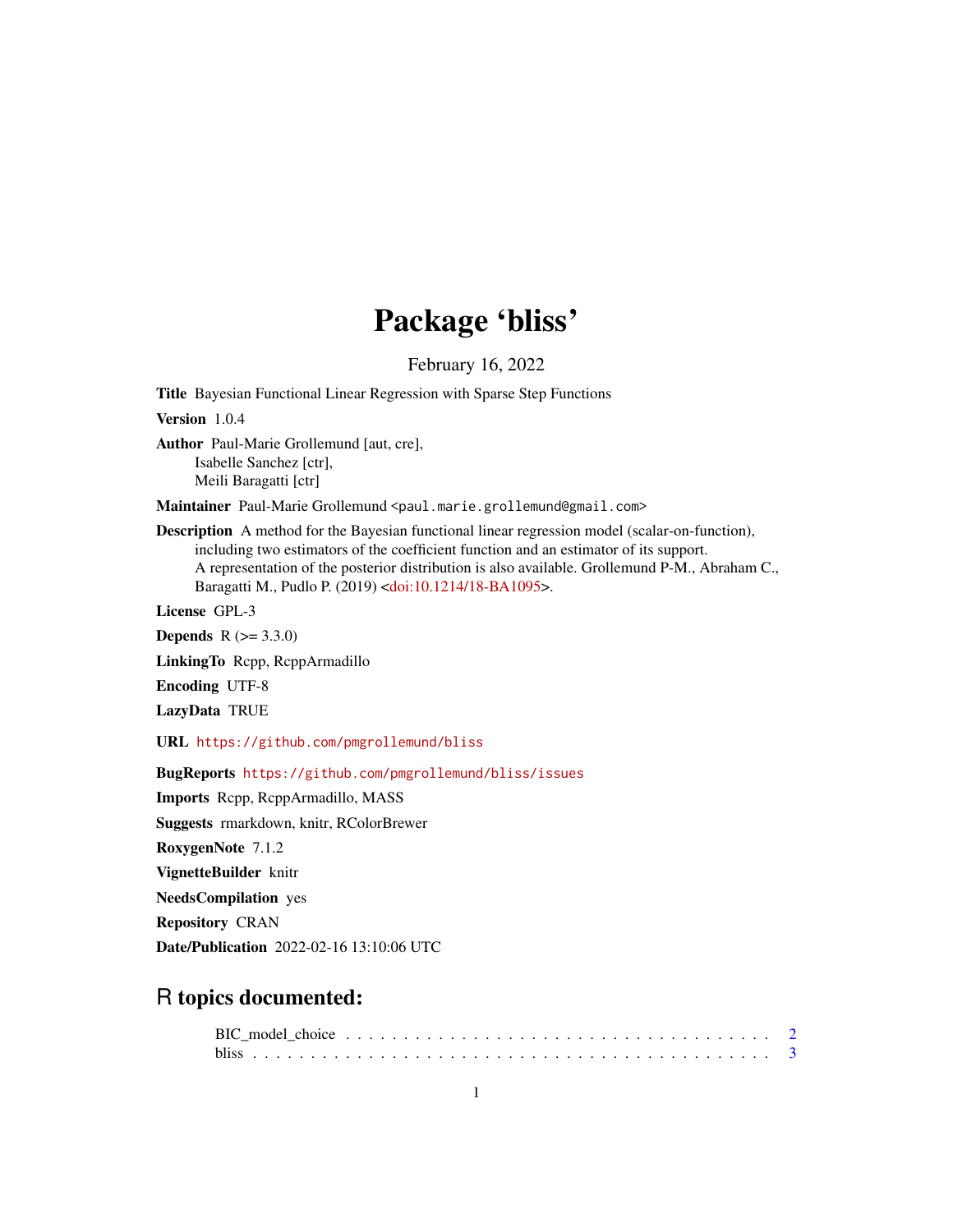# Package 'bliss'

February 16, 2022

<span id="page-0-0"></span>Title Bayesian Functional Linear Regression with Sparse Step Functions

Version 1.0.4

Author Paul-Marie Grollemund [aut, cre], Isabelle Sanchez [ctr], Meili Baragatti [ctr]

Maintainer Paul-Marie Grollemund <paul.marie.grollemund@gmail.com>

Description A method for the Bayesian functional linear regression model (scalar-on-function), including two estimators of the coefficient function and an estimator of its support. A representation of the posterior distribution is also available. Grollemund P-M., Abraham C., Baragatti M., Pudlo P. (2019) [<doi:10.1214/18-BA1095>](https://doi.org/10.1214/18-BA1095).

License GPL-3

**Depends**  $R (= 3.3.0)$ 

LinkingTo Rcpp, RcppArmadillo

Encoding UTF-8

LazyData TRUE

URL <https://github.com/pmgrollemund/bliss>

BugReports <https://github.com/pmgrollemund/bliss/issues>

Imports Rcpp, RcppArmadillo, MASS Suggests rmarkdown, knitr, RColorBrewer

RoxygenNote 7.1.2

VignetteBuilder knitr

NeedsCompilation yes

Repository CRAN

Date/Publication 2022-02-16 13:10:06 UTC

# R topics documented: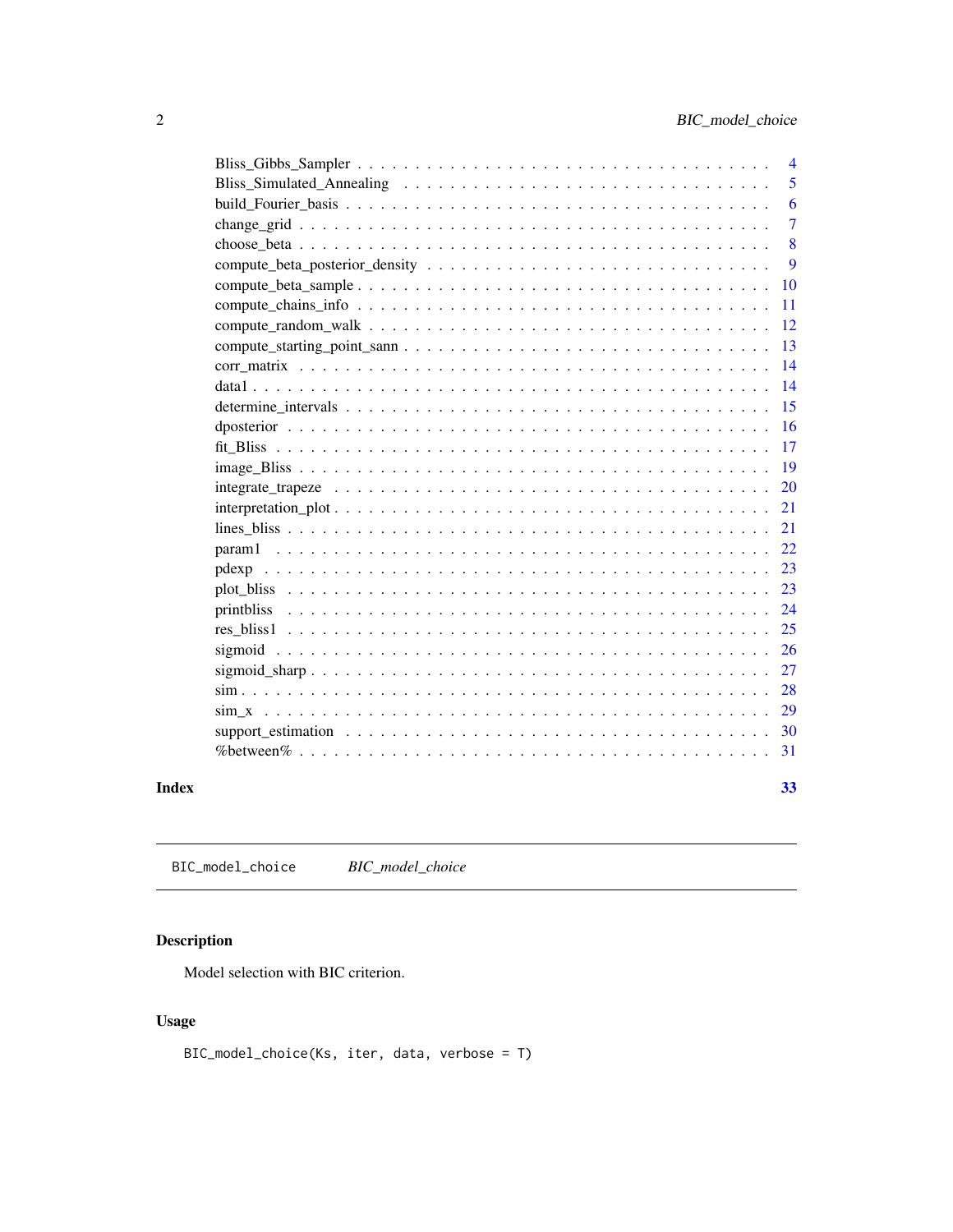<span id="page-1-0"></span>

|       | $\overline{4}$ |
|-------|----------------|
|       | 5              |
|       | 6              |
|       | $\overline{7}$ |
|       | 8              |
|       | 9              |
|       | 10             |
|       | 11             |
|       | 12             |
|       | 13             |
|       | 14             |
|       | 14             |
|       | 15             |
|       | 16             |
|       | 17             |
|       | 19             |
|       | 20             |
|       | 21             |
|       | 21             |
|       | 22             |
|       | 23             |
|       | 23             |
|       | 24             |
|       | 25             |
|       | 26             |
|       | 27             |
|       | 28             |
|       | 29             |
|       | 30             |
|       | 31             |
| Index | 33             |

BIC\_model\_choice *BIC\_model\_choice*

# Description

Model selection with BIC criterion.

# Usage

BIC\_model\_choice(Ks, iter, data, verbose = T)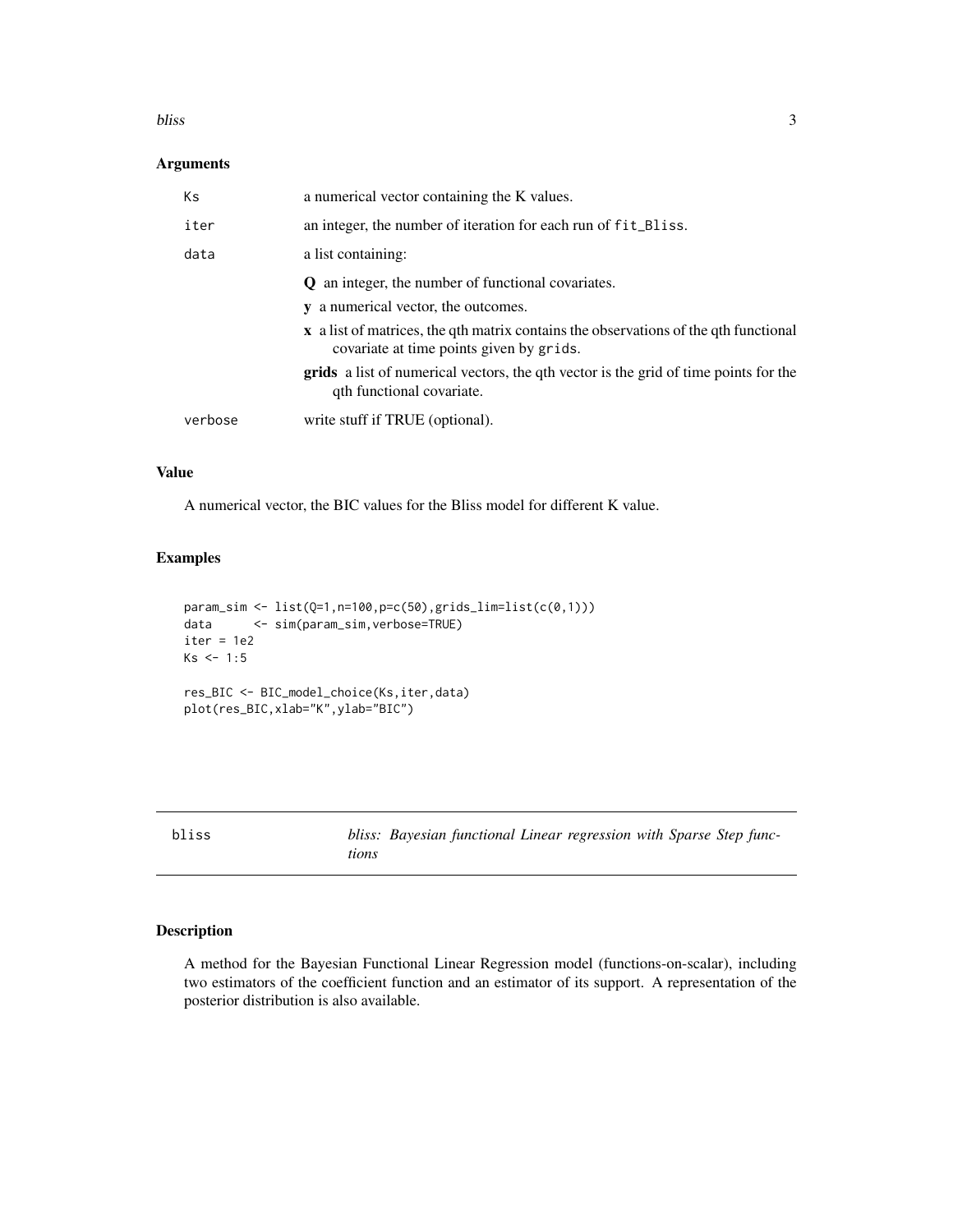#### <span id="page-2-0"></span>bliss 3

# Arguments

| Кs      | a numerical vector containing the K values.                                                                                      |
|---------|----------------------------------------------------------------------------------------------------------------------------------|
| iter    | an integer, the number of iteration for each run of fit_Bliss.                                                                   |
| data    | a list containing:                                                                                                               |
|         | <b>Q</b> an integer, the number of functional covariates.<br><b>y</b> a numerical vector, the outcomes.                          |
|         | x a list of matrices, the qth matrix contains the observations of the qth functional<br>covariate at time points given by grids. |
|         | grids a list of numerical vectors, the qth vector is the grid of time points for the<br>qth functional covariate.                |
| verbose | write stuff if TRUE (optional).                                                                                                  |

# Value

A numerical vector, the BIC values for the Bliss model for different K value.

# Examples

```
param_sim <- list(Q=1,n=100,p=c(50),grids_lim=list(c(0,1)))
data <- sim(param_sim,verbose=TRUE)
iter = 1e2
Ks < -1:5res_BIC <- BIC_model_choice(Ks,iter,data)
plot(res_BIC,xlab="K",ylab="BIC")
```
bliss *bliss: Bayesian functional Linear regression with Sparse Step functions*

# Description

A method for the Bayesian Functional Linear Regression model (functions-on-scalar), including two estimators of the coefficient function and an estimator of its support. A representation of the posterior distribution is also available.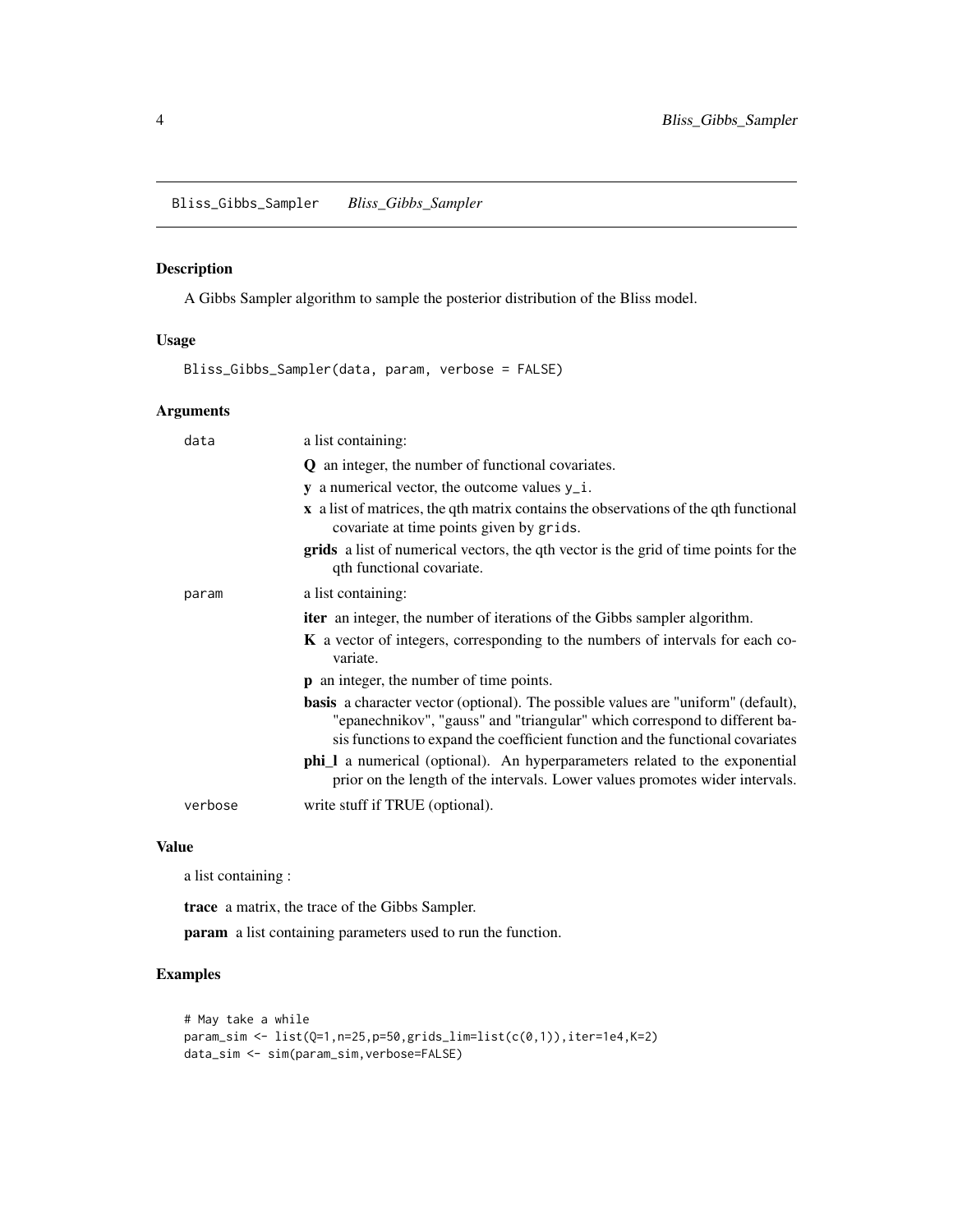# <span id="page-3-0"></span>Description

A Gibbs Sampler algorithm to sample the posterior distribution of the Bliss model.

# Usage

Bliss\_Gibbs\_Sampler(data, param, verbose = FALSE)

# Arguments

| data    | a list containing:                                                                                                                                                                                                                                       |
|---------|----------------------------------------------------------------------------------------------------------------------------------------------------------------------------------------------------------------------------------------------------------|
|         | <b>Q</b> an integer, the number of functional covariates.                                                                                                                                                                                                |
|         | $\bf{y}$ a numerical vector, the outcome values $\bf{y}_i$ .                                                                                                                                                                                             |
|         | x a list of matrices, the qth matrix contains the observations of the qth functional<br>covariate at time points given by grids.                                                                                                                         |
|         | grids a list of numerical vectors, the qth vector is the grid of time points for the<br>qth functional covariate.                                                                                                                                        |
| param   | a list containing:                                                                                                                                                                                                                                       |
|         | <b>iter</b> an integer, the number of iterations of the Gibbs sampler algorithm.                                                                                                                                                                         |
|         | <b>K</b> a vector of integers, corresponding to the numbers of intervals for each co-<br>variate.                                                                                                                                                        |
|         | <b>p</b> an integer, the number of time points.                                                                                                                                                                                                          |
|         | <b>basis</b> a character vector (optional). The possible values are "uniform" (default),<br>"epanechnikov", "gauss" and "triangular" which correspond to different ba-<br>sis functions to expand the coefficient function and the functional covariates |
|         | <b>phi_l</b> a numerical (optional). An hyperparameters related to the exponential<br>prior on the length of the intervals. Lower values promotes wider intervals.                                                                                       |
| verbose | write stuff if TRUE (optional).                                                                                                                                                                                                                          |

#### Value

a list containing :

trace a matrix, the trace of the Gibbs Sampler.

param a list containing parameters used to run the function.

```
# May take a while
param\_sim \leftarrow list(Q=1, n=25, p=50, grids\_lim=list(c(0,1)), iter=1e4, K=2)data_sim <- sim(param_sim,verbose=FALSE)
```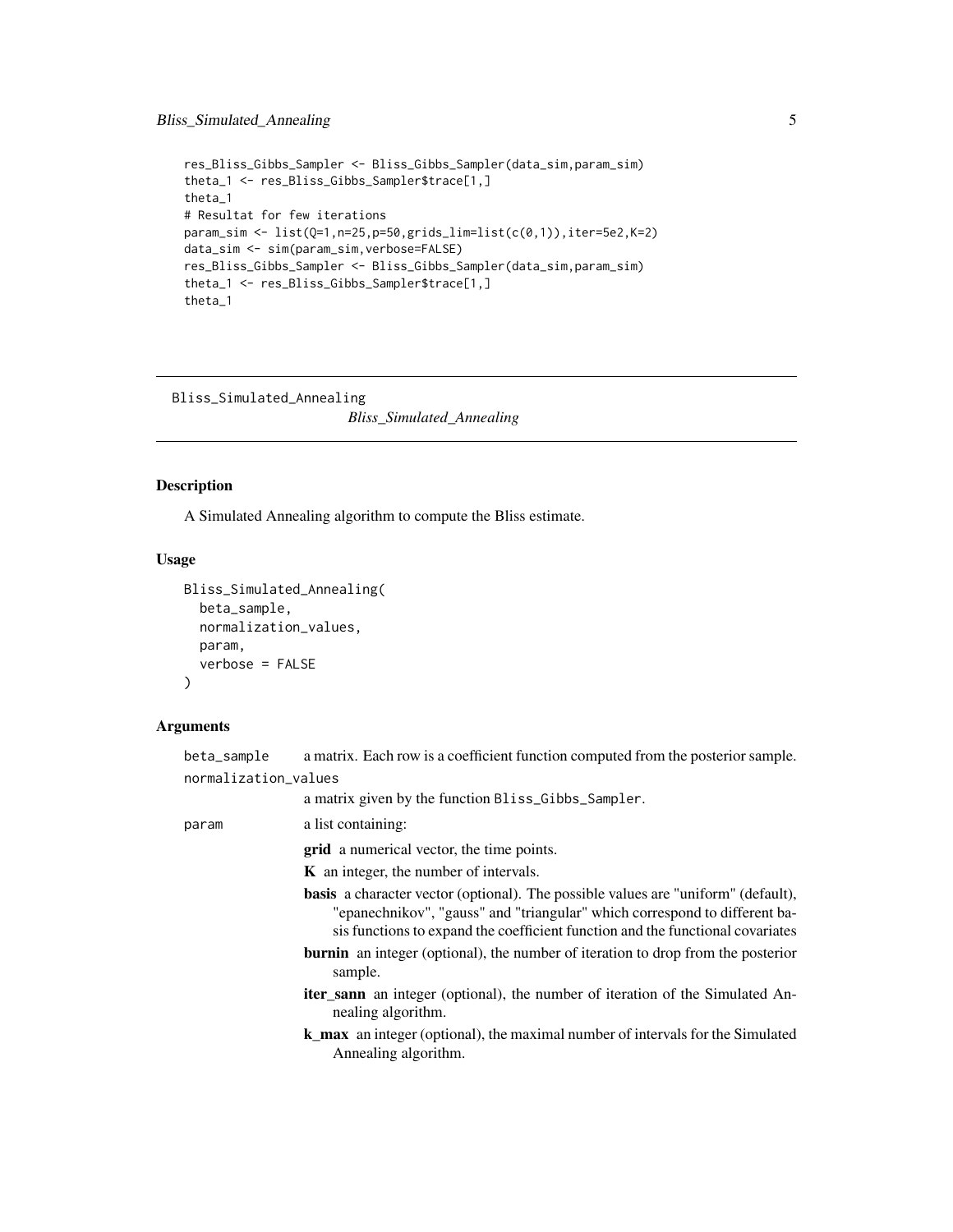# <span id="page-4-0"></span>Bliss\_Simulated\_Annealing 5

```
res_Bliss_Gibbs_Sampler <- Bliss_Gibbs_Sampler(data_sim,param_sim)
theta_1 <- res_Bliss_Gibbs_Sampler$trace[1,]
theta_1
# Resultat for few iterations
param\_sim < 1ist(Q=1, n=25, p=50, grids_lim=list(c(0,1)), iter=5e2, K=2)
data_sim <- sim(param_sim,verbose=FALSE)
res_Bliss_Gibbs_Sampler <- Bliss_Gibbs_Sampler(data_sim,param_sim)
theta_1 <- res_Bliss_Gibbs_Sampler$trace[1,]
theta_1
```
Bliss\_Simulated\_Annealing

*Bliss\_Simulated\_Annealing*

# Description

A Simulated Annealing algorithm to compute the Bliss estimate.

# Usage

```
Bliss_Simulated_Annealing(
  beta_sample,
  normalization_values,
 param,
  verbose = FALSE
)
```
# Arguments

| beta_sample          | a matrix. Each row is a coefficient function computed from the posterior sample.                                                                                                                                                                         |
|----------------------|----------------------------------------------------------------------------------------------------------------------------------------------------------------------------------------------------------------------------------------------------------|
| normalization_values |                                                                                                                                                                                                                                                          |
|                      | a matrix given by the function Bliss_Gibbs_Sampler.                                                                                                                                                                                                      |
| param                | a list containing:                                                                                                                                                                                                                                       |
|                      | grid a numerical vector, the time points.                                                                                                                                                                                                                |
|                      | <b>K</b> an integer, the number of intervals.                                                                                                                                                                                                            |
|                      | <b>basis</b> a character vector (optional). The possible values are "uniform" (default),<br>"epanechnikov", "gauss" and "triangular" which correspond to different ba-<br>sis functions to expand the coefficient function and the functional covariates |
|                      | <b>burnin</b> an integer (optional), the number of iteration to drop from the posterior<br>sample.                                                                                                                                                       |
|                      | <b>iter_sann</b> an integer (optional), the number of iteration of the Simulated An-<br>nealing algorithm.                                                                                                                                               |
|                      | <b>k_max</b> an integer (optional), the maximal number of intervals for the Simulated<br>Annealing algorithm.                                                                                                                                            |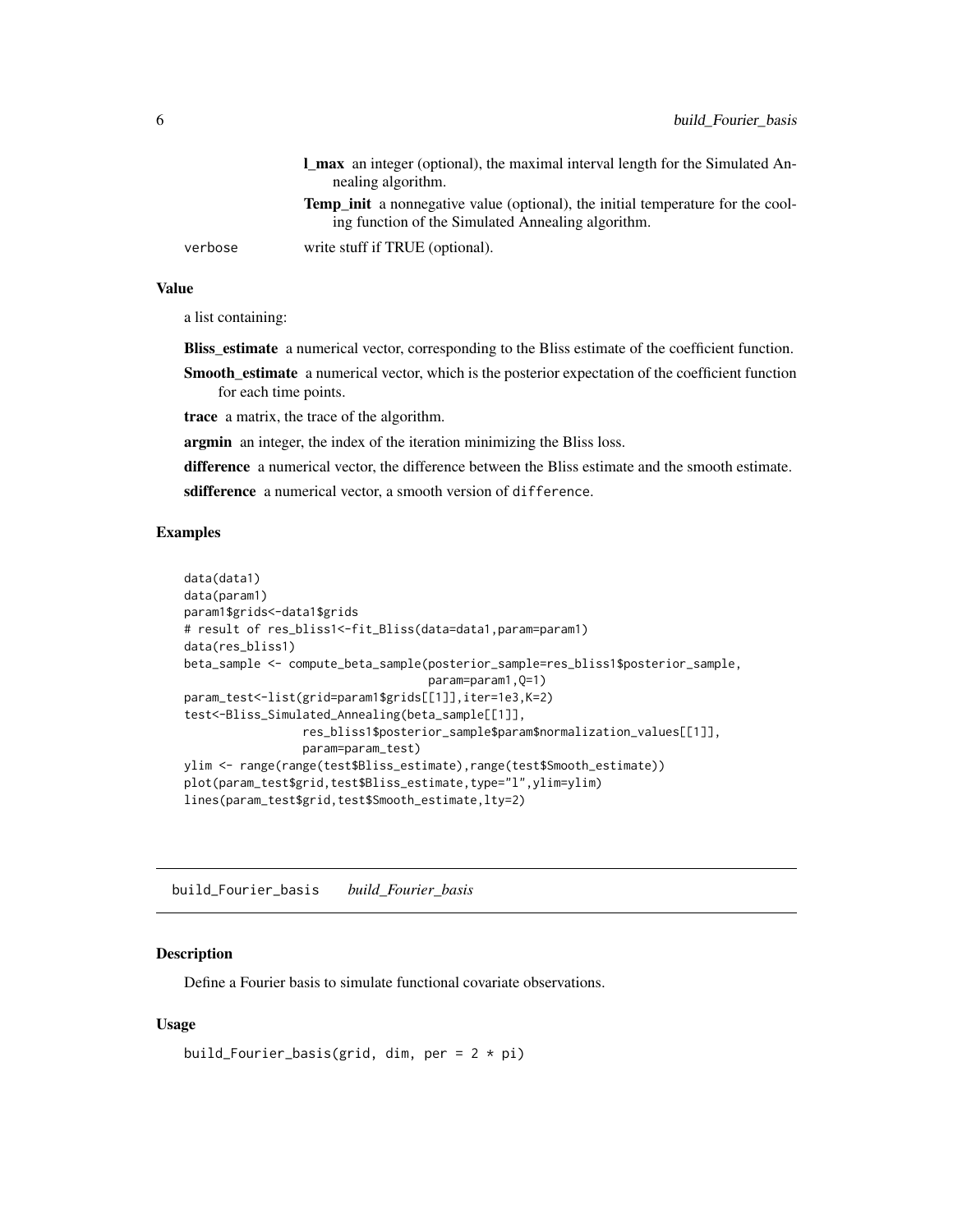<span id="page-5-0"></span>

|         | <b>l</b> max an integer (optional), the maximal interval length for the Simulated An-  |
|---------|----------------------------------------------------------------------------------------|
|         | nealing algorithm.                                                                     |
|         | <b>Temp init</b> a nonnegative value (optional), the initial temperature for the cool- |
|         | ing function of the Simulated Annealing algorithm.                                     |
| verbose | write stuff if TRUE (optional).                                                        |

a list containing:

**Bliss\_estimate** a numerical vector, corresponding to the Bliss estimate of the coefficient function.

Smooth\_estimate a numerical vector, which is the posterior expectation of the coefficient function for each time points.

trace a matrix, the trace of the algorithm.

argmin an integer, the index of the iteration minimizing the Bliss loss.

difference a numerical vector, the difference between the Bliss estimate and the smooth estimate.

sdifference a numerical vector, a smooth version of difference.

#### Examples

```
data(data1)
data(param1)
param1$grids<-data1$grids
# result of res_bliss1<-fit_Bliss(data=data1,param=param1)
data(res_bliss1)
beta_sample <- compute_beta_sample(posterior_sample=res_bliss1$posterior_sample,
                                   param=param1,Q=1)
param_test<-list(grid=param1$grids[[1]],iter=1e3,K=2)
test<-Bliss_Simulated_Annealing(beta_sample[[1]],
                 res_bliss1$posterior_sample$param$normalization_values[[1]],
                param=param_test)
ylim <- range(range(test$Bliss_estimate),range(test$Smooth_estimate))
plot(param_test$grid,test$Bliss_estimate,type="l",ylim=ylim)
lines(param_test$grid,test$Smooth_estimate,lty=2)
```
build\_Fourier\_basis *build\_Fourier\_basis*

#### Description

Define a Fourier basis to simulate functional covariate observations.

#### Usage

```
build_Fourier_basis(grid, dim, per = 2 * pi)
```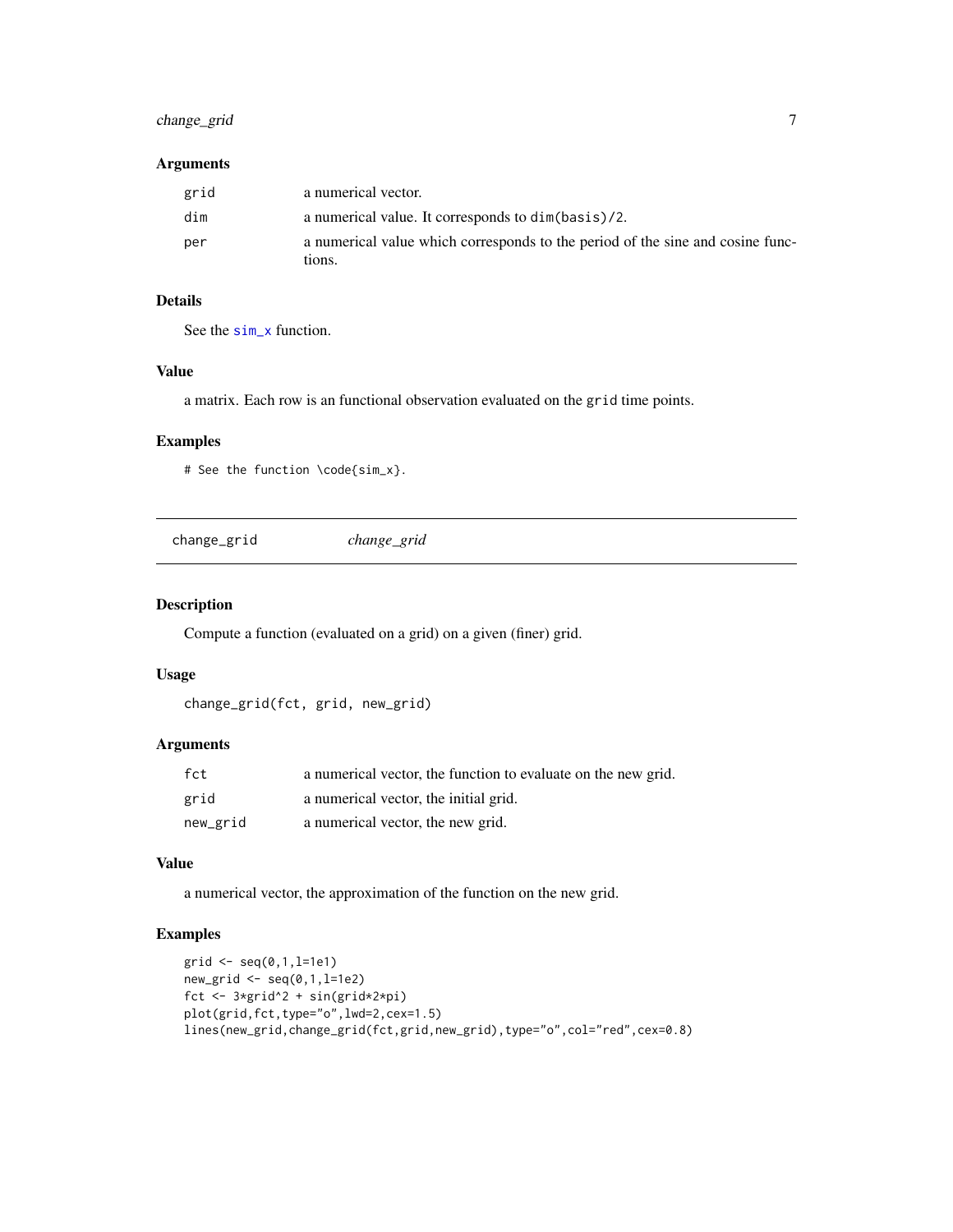# <span id="page-6-0"></span>change\_grid 7

#### Arguments

| grid | a numerical vector.                                                                      |
|------|------------------------------------------------------------------------------------------|
| dim  | a numerical value. It corresponds to dim(basis)/2.                                       |
| per  | a numerical value which corresponds to the period of the sine and cosine func-<br>tions. |

# Details

See the [sim\\_x](#page-28-1) function.

# Value

a matrix. Each row is an functional observation evaluated on the grid time points.

# Examples

# See the function \code{sim\_x}.

| change_grid | change_grid |  |
|-------------|-------------|--|
|             |             |  |

# Description

Compute a function (evaluated on a grid) on a given (finer) grid.

# Usage

```
change_grid(fct, grid, new_grid)
```
# Arguments

| fct      | a numerical vector, the function to evaluate on the new grid. |
|----------|---------------------------------------------------------------|
| grid     | a numerical vector, the initial grid.                         |
| new_grid | a numerical vector, the new grid.                             |

# Value

a numerical vector, the approximation of the function on the new grid.

```
grid \leq seq(0,1,1=1e1)new_grid <- seq(0,1,l=1e2)
fct <- 3*grid^2 + sin(grid*2*pi)
plot(grid,fct,type="o",lwd=2,cex=1.5)
lines(new_grid,change_grid(fct,grid,new_grid),type="o",col="red",cex=0.8)
```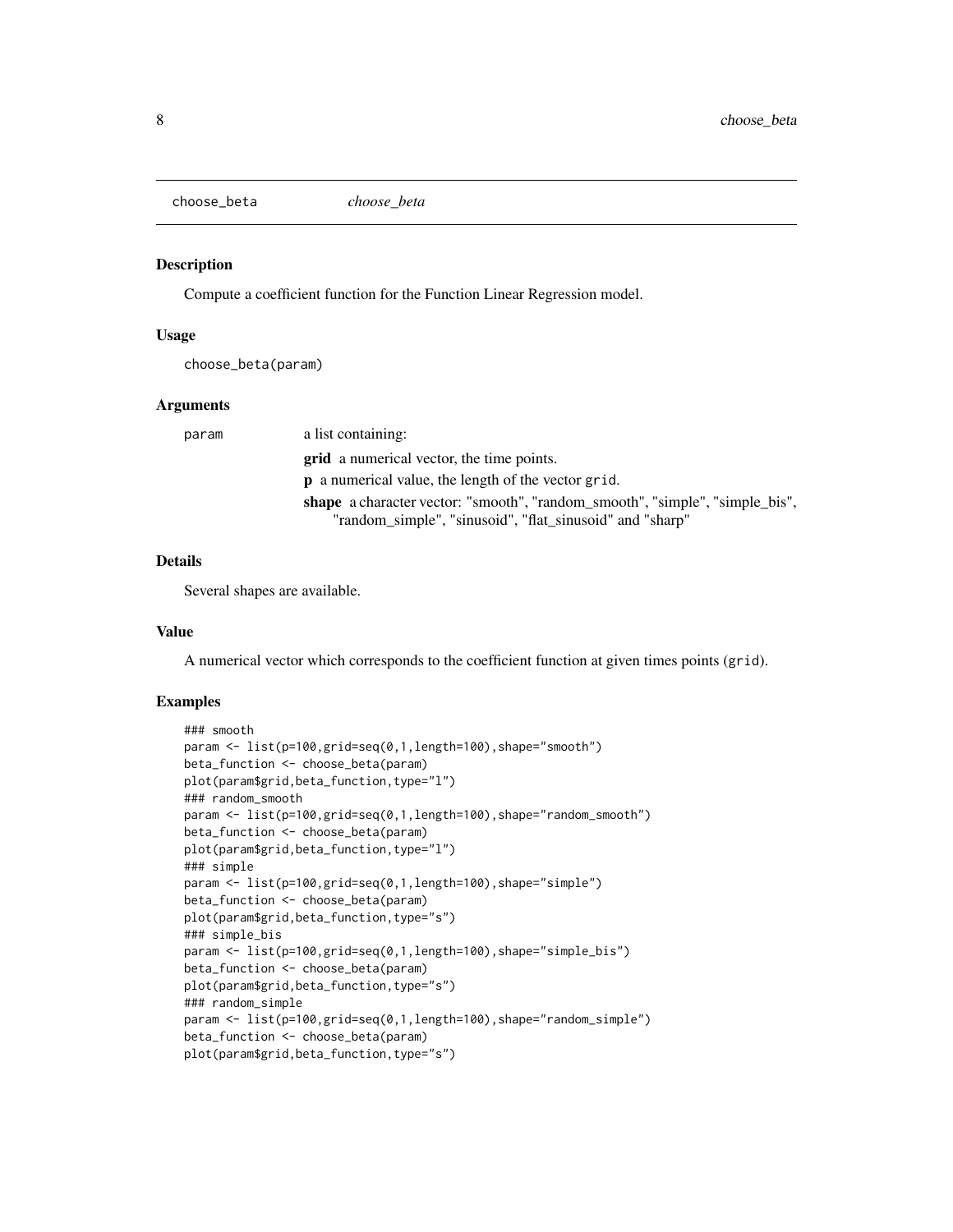<span id="page-7-0"></span>choose\_beta *choose\_beta*

## Description

Compute a coefficient function for the Function Linear Regression model.

#### Usage

choose\_beta(param)

#### Arguments

| param | a list containing:                                                           |
|-------|------------------------------------------------------------------------------|
|       | <b>grid</b> a numerical vector, the time points.                             |
|       | <b>p</b> a numerical value, the length of the vector grid.                   |
|       | shape a character vector: "smooth", "random_smooth", "simple", "simple_bis", |
|       | "random_simple", "sinusoid", "flat_sinusoid" and "sharp"                     |

#### Details

Several shapes are available.

#### Value

A numerical vector which corresponds to the coefficient function at given times points (grid).

```
### smooth
param <- list(p=100,grid=seq(0,1,length=100),shape="smooth")
beta_function <- choose_beta(param)
plot(param$grid,beta_function,type="l")
### random_smooth
param <- list(p=100,grid=seq(0,1,length=100),shape="random_smooth")
beta_function <- choose_beta(param)
plot(param$grid,beta_function,type="l")
### simple
param <- list(p=100,grid=seq(0,1,length=100),shape="simple")
beta_function <- choose_beta(param)
plot(param$grid,beta_function,type="s")
### simple_bis
param <- list(p=100,grid=seq(0,1,length=100),shape="simple_bis")
beta_function <- choose_beta(param)
plot(param$grid,beta_function,type="s")
### random_simple
param <- list(p=100,grid=seq(0,1,length=100),shape="random_simple")
beta_function <- choose_beta(param)
plot(param$grid,beta_function,type="s")
```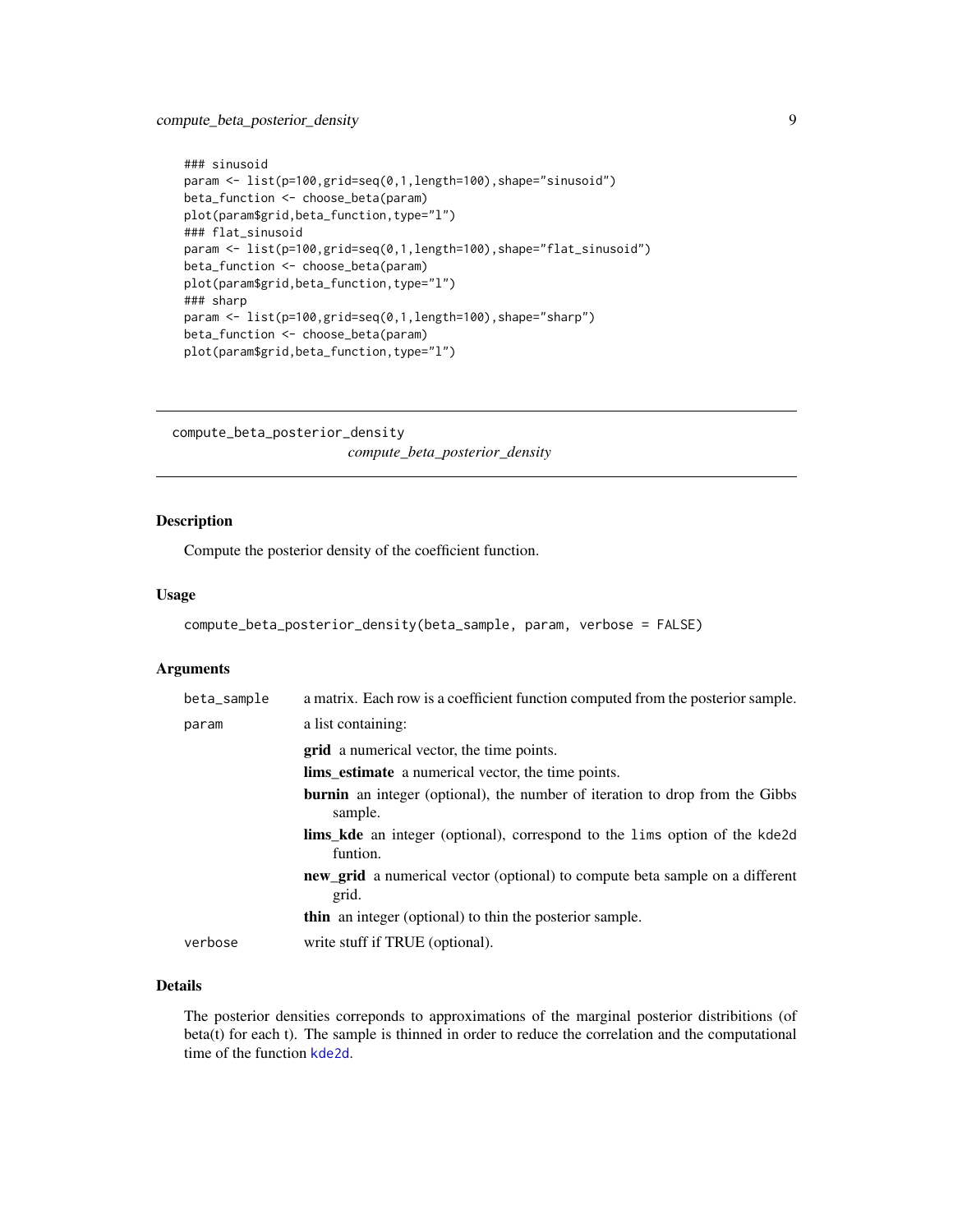# <span id="page-8-0"></span>compute\_beta\_posterior\_density 9

```
### sinusoid
param <- list(p=100,grid=seq(0,1,length=100),shape="sinusoid")
beta_function <- choose_beta(param)
plot(param$grid,beta_function,type="l")
### flat_sinusoid
param <- list(p=100,grid=seq(0,1,length=100),shape="flat_sinusoid")
beta_function <- choose_beta(param)
plot(param$grid,beta_function,type="l")
### sharp
param <- list(p=100,grid=seq(0,1,length=100),shape="sharp")
beta_function <- choose_beta(param)
plot(param$grid,beta_function,type="l")
```
compute\_beta\_posterior\_density *compute\_beta\_posterior\_density*

# Description

Compute the posterior density of the coefficient function.

#### Usage

```
compute_beta_posterior_density(beta_sample, param, verbose = FALSE)
```
## Arguments

| beta_sample | a matrix. Each row is a coefficient function computed from the posterior sample.               |
|-------------|------------------------------------------------------------------------------------------------|
| param       | a list containing:                                                                             |
|             | <b>grid</b> a numerical vector, the time points.                                               |
|             | <b>lims_estimate</b> a numerical vector, the time points.                                      |
|             | <b>burnin</b> an integer (optional), the number of iteration to drop from the Gibbs<br>sample. |
|             | <b>lims_kde</b> an integer (optional), correspond to the lims option of the kde2d<br>funtion.  |
|             | <b>new_grid</b> a numerical vector (optional) to compute beta sample on a different<br>grid.   |
|             | <b>thin</b> an integer (optional) to thin the posterior sample.                                |
| verbose     | write stuff if TRUE (optional).                                                                |

#### Details

The posterior densities correponds to approximations of the marginal posterior distribitions (of beta(t) for each t). The sample is thinned in order to reduce the correlation and the computational time of the function [kde2d](#page-0-0).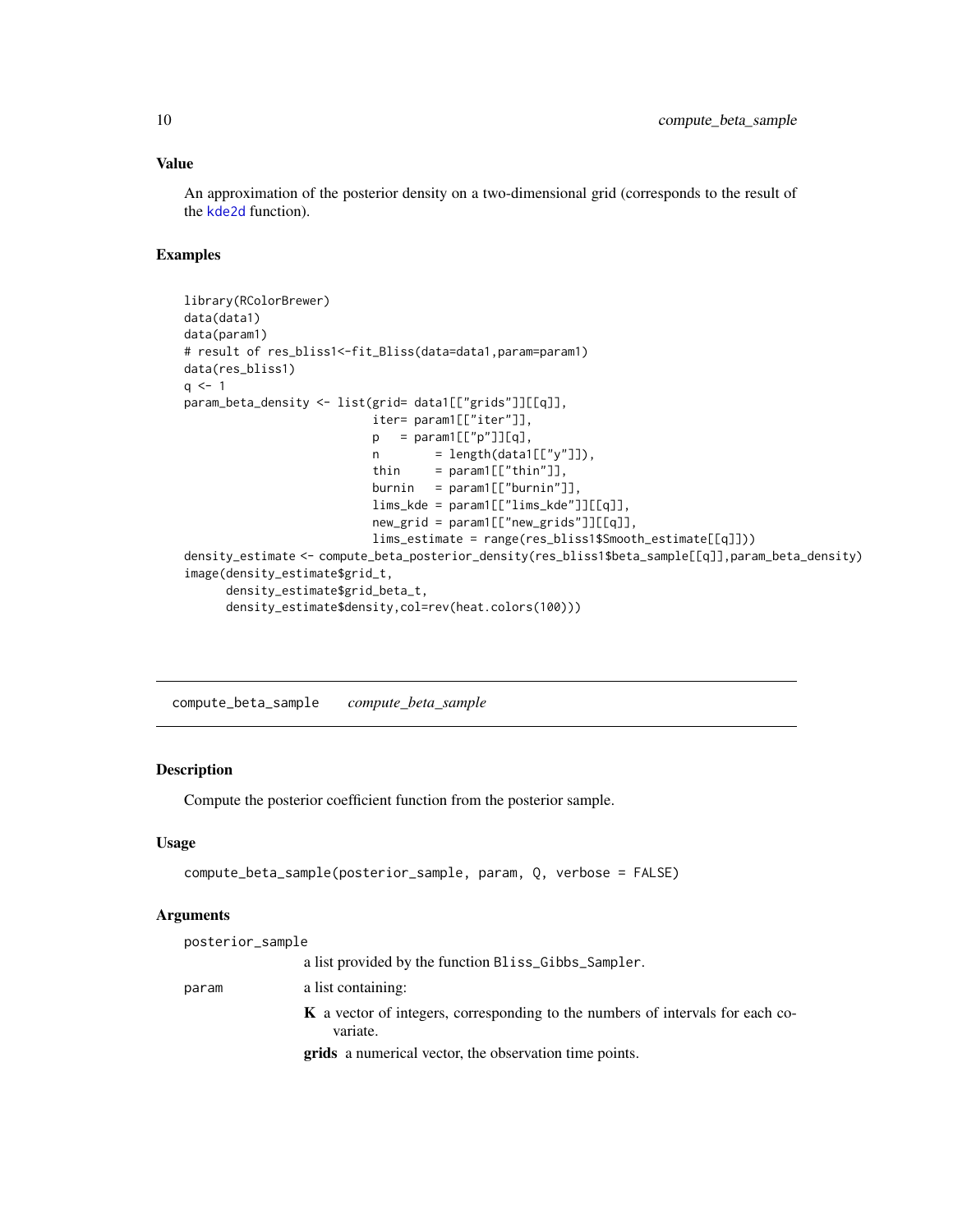<span id="page-9-0"></span>An approximation of the posterior density on a two-dimensional grid (corresponds to the result of the [kde2d](#page-0-0) function).

# Examples

```
library(RColorBrewer)
data(data1)
data(param1)
# result of res_bliss1<-fit_Bliss(data=data1,param=param1)
data(res_bliss1)
q \le -1param_beta_density <- list(grid= data1[["grids"]][[q]],
                          iter= param1[["iter"]],
                          p = param1[["p"]][q],n = length(data1[[['y'']]),thin = param1[["thin"],
                          burnin = param1[["burnin"]],lims_kde = param1[["lims_kde"]][[q]],
                          new_grid = param1[["new_grids"]][[q]],
                          lims_estimate = range(res_bliss1$Smooth_estimate[[q]]))
density_estimate <- compute_beta_posterior_density(res_bliss1$beta_sample[[q]],param_beta_density)
image(density_estimate$grid_t,
     density_estimate$grid_beta_t,
     density_estimate$density,col=rev(heat.colors(100)))
```
compute\_beta\_sample *compute\_beta\_sample*

# Description

Compute the posterior coefficient function from the posterior sample.

#### Usage

```
compute_beta_sample(posterior_sample, param, Q, verbose = FALSE)
```
#### Arguments

| posterior_sample |                                                                                                   |
|------------------|---------------------------------------------------------------------------------------------------|
|                  | a list provided by the function Bliss_Gibbs_Sampler.                                              |
| param            | a list containing:                                                                                |
|                  | <b>K</b> a vector of integers, corresponding to the numbers of intervals for each co-<br>variate. |
|                  | <b>grids</b> a numerical vector, the observation time points.                                     |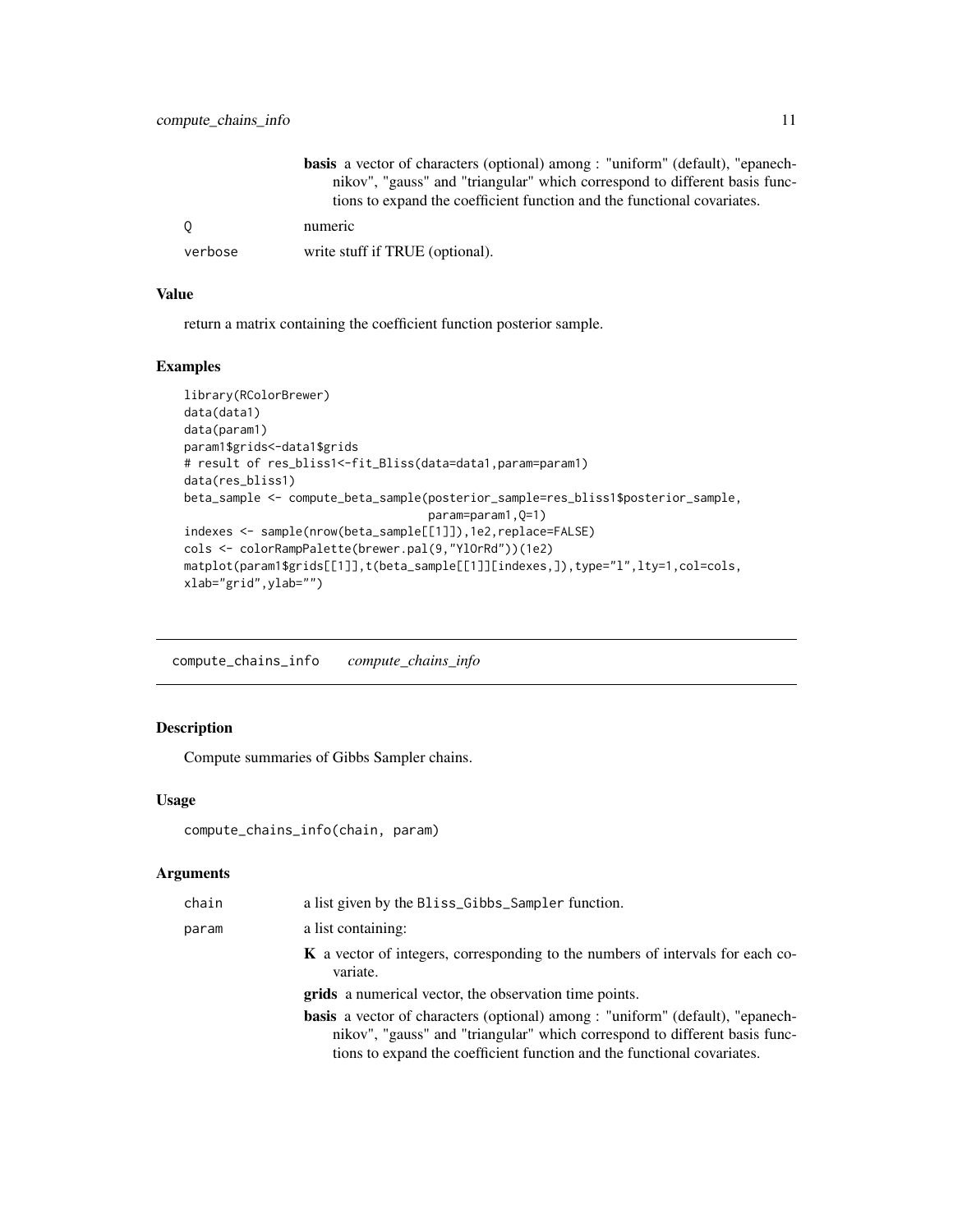<span id="page-10-0"></span>

|         | <b>basis</b> a vector of characters (optional) among : "uniform" (default), "epanech- |
|---------|---------------------------------------------------------------------------------------|
|         | nikov", "gauss" and "triangular" which correspond to different basis func-            |
|         | tions to expand the coefficient function and the functional covariates.               |
| - 0     | numeric                                                                               |
| verbose | write stuff if TRUE (optional).                                                       |

return a matrix containing the coefficient function posterior sample.

# Examples

```
library(RColorBrewer)
data(data1)
data(param1)
param1$grids<-data1$grids
# result of res_bliss1<-fit_Bliss(data=data1,param=param1)
data(res_bliss1)
beta_sample <- compute_beta_sample(posterior_sample=res_bliss1$posterior_sample,
                                   param=param1,Q=1)
indexes <- sample(nrow(beta_sample[[1]]),1e2,replace=FALSE)
cols <- colorRampPalette(brewer.pal(9,"YlOrRd"))(1e2)
matplot(param1$grids[[1]],t(beta_sample[[1]][indexes,]),type="l",lty=1,col=cols,
xlab="grid",ylab="")
```
compute\_chains\_info *compute\_chains\_info*

# Description

Compute summaries of Gibbs Sampler chains.

#### Usage

```
compute_chains_info(chain, param)
```
# Arguments

| chain | a list given by the Bliss_Gibbs_Sampler function.                                                                                                                   |
|-------|---------------------------------------------------------------------------------------------------------------------------------------------------------------------|
| param | a list containing:                                                                                                                                                  |
|       | <b>K</b> a vector of integers, corresponding to the numbers of intervals for each co-<br>variate.                                                                   |
|       | <b>grids</b> a numerical vector, the observation time points.                                                                                                       |
|       | <b>basis</b> a vector of characters (optional) among : "uniform" (default), "epanech-<br>nikov", "gauss" and "triangular" which correspond to different basis func- |
|       | tions to expand the coefficient function and the functional covariates.                                                                                             |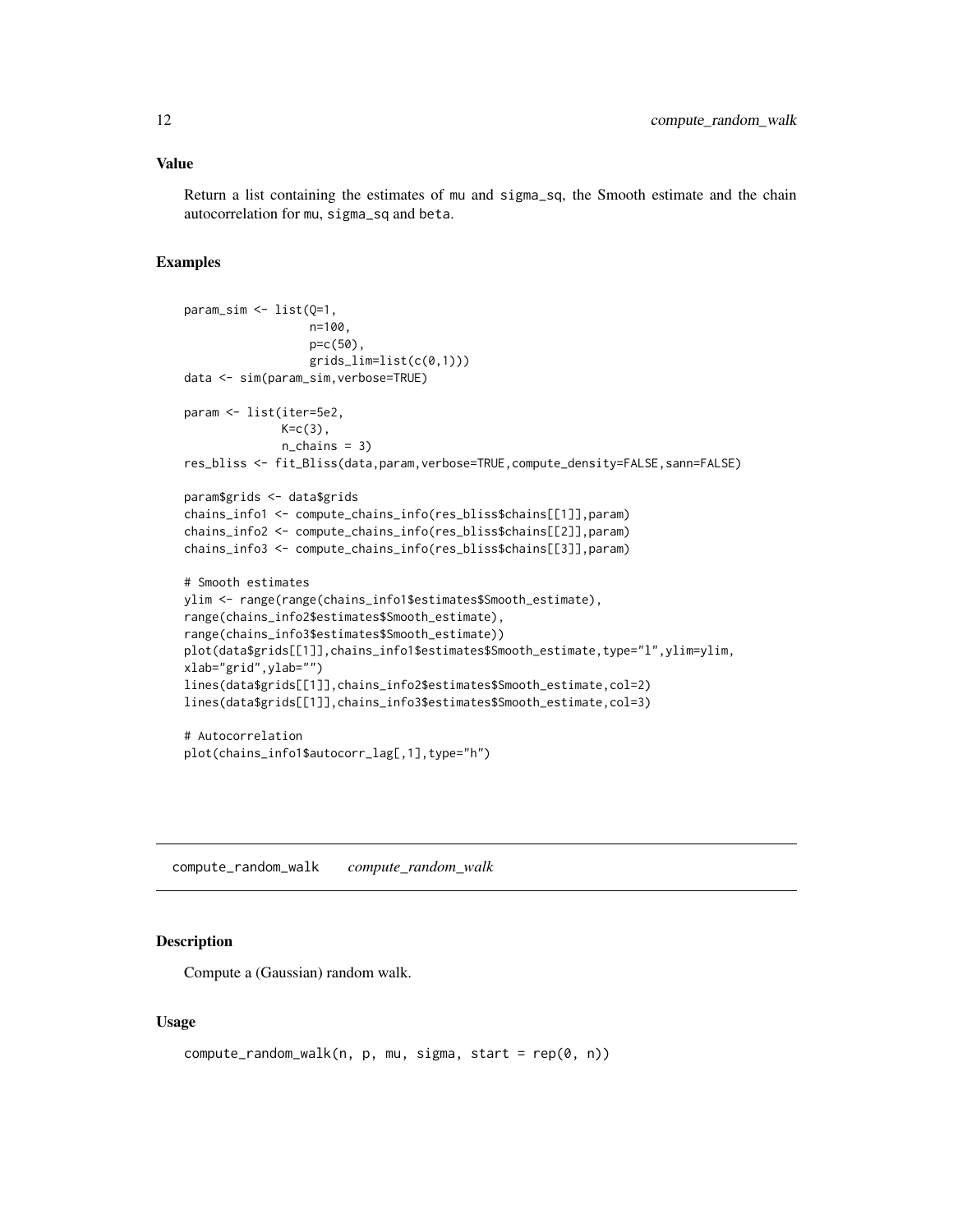<span id="page-11-0"></span>Return a list containing the estimates of mu and sigma\_sq, the Smooth estimate and the chain autocorrelation for mu, sigma\_sq and beta.

# Examples

```
param_sim <- list(Q=1,
                  n=100,
                  p=c(50),
                  grids_lim=list(c(0,1)))
data <- sim(param_sim,verbose=TRUE)
param <- list(iter=5e2,
             K=c(3),
             n_chains = 3)
res_bliss <- fit_Bliss(data,param,verbose=TRUE,compute_density=FALSE,sann=FALSE)
param$grids <- data$grids
chains_info1 <- compute_chains_info(res_bliss$chains[[1]],param)
chains_info2 <- compute_chains_info(res_bliss$chains[[2]],param)
chains_info3 <- compute_chains_info(res_bliss$chains[[3]],param)
# Smooth estimates
ylim <- range(range(chains_info1$estimates$Smooth_estimate),
range(chains_info2$estimates$Smooth_estimate),
range(chains_info3$estimates$Smooth_estimate))
plot(data$grids[[1]],chains_info1$estimates$Smooth_estimate,type="l",ylim=ylim,
xlab="grid",ylab="")
lines(data$grids[[1]],chains_info2$estimates$Smooth_estimate,col=2)
lines(data$grids[[1]],chains_info3$estimates$Smooth_estimate,col=3)
# Autocorrelation
plot(chains_info1$autocorr_lag[,1],type="h")
```
compute\_random\_walk *compute\_random\_walk*

#### Description

Compute a (Gaussian) random walk.

#### Usage

```
compute_random_walk(n, p, mu, sigma, start = rep(0, n))
```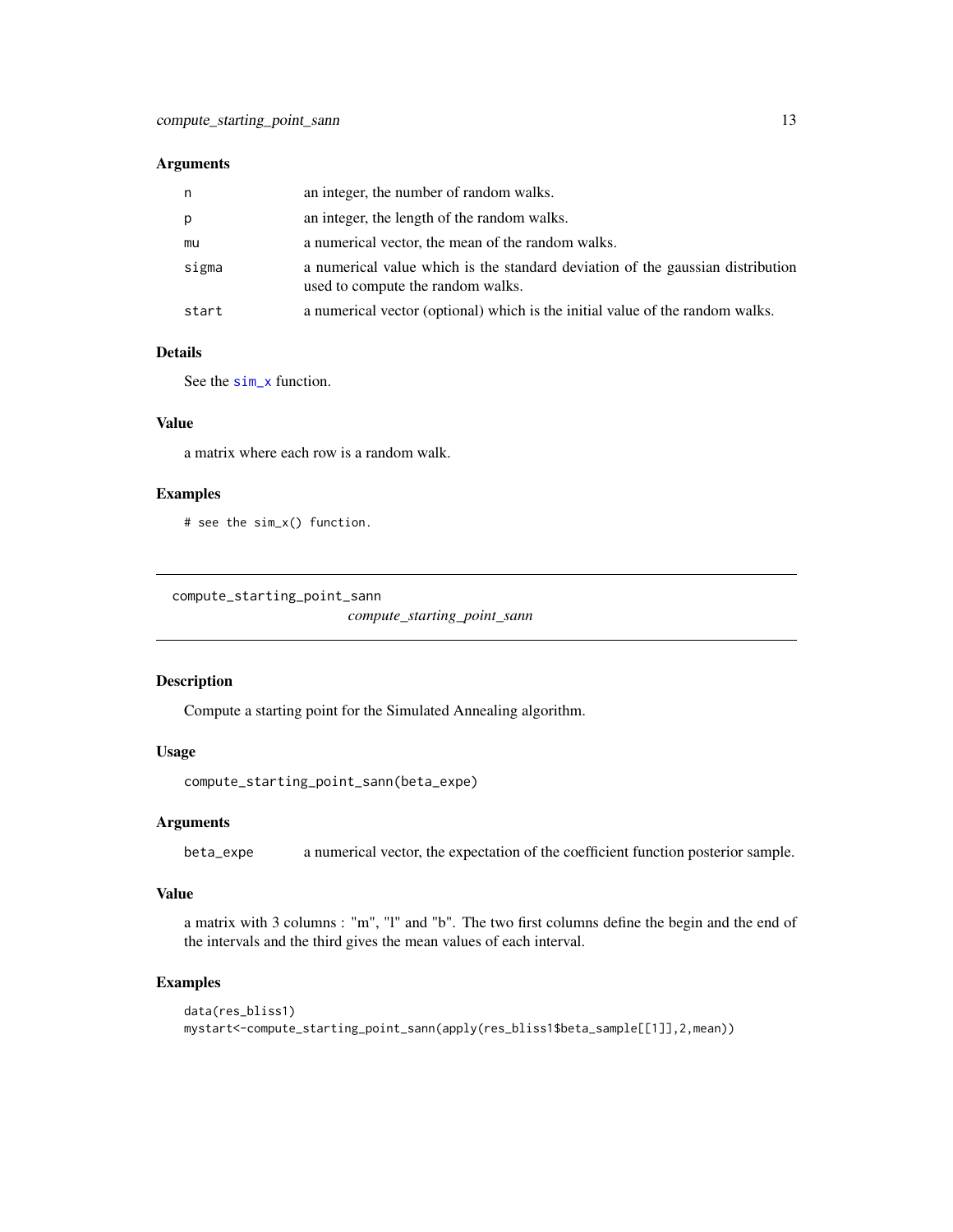#### <span id="page-12-0"></span>Arguments

| n     | an integer, the number of random walks.                                                                             |
|-------|---------------------------------------------------------------------------------------------------------------------|
| p     | an integer, the length of the random walks.                                                                         |
| mu    | a numerical vector, the mean of the random walks.                                                                   |
| sigma | a numerical value which is the standard deviation of the gaussian distribution<br>used to compute the random walks. |
| start | a numerical vector (optional) which is the initial value of the random walks.                                       |

#### Details

See the [sim\\_x](#page-28-1) function.

### Value

a matrix where each row is a random walk.

#### Examples

# see the sim\_x() function.

```
compute_starting_point_sann
```
*compute\_starting\_point\_sann*

#### Description

Compute a starting point for the Simulated Annealing algorithm.

# Usage

```
compute_starting_point_sann(beta_expe)
```
#### Arguments

beta\_expe a numerical vector, the expectation of the coefficient function posterior sample.

#### Value

a matrix with 3 columns : "m", "l" and "b". The two first columns define the begin and the end of the intervals and the third gives the mean values of each interval.

```
data(res_bliss1)
mystart<-compute_starting_point_sann(apply(res_bliss1$beta_sample[[1]],2,mean))
```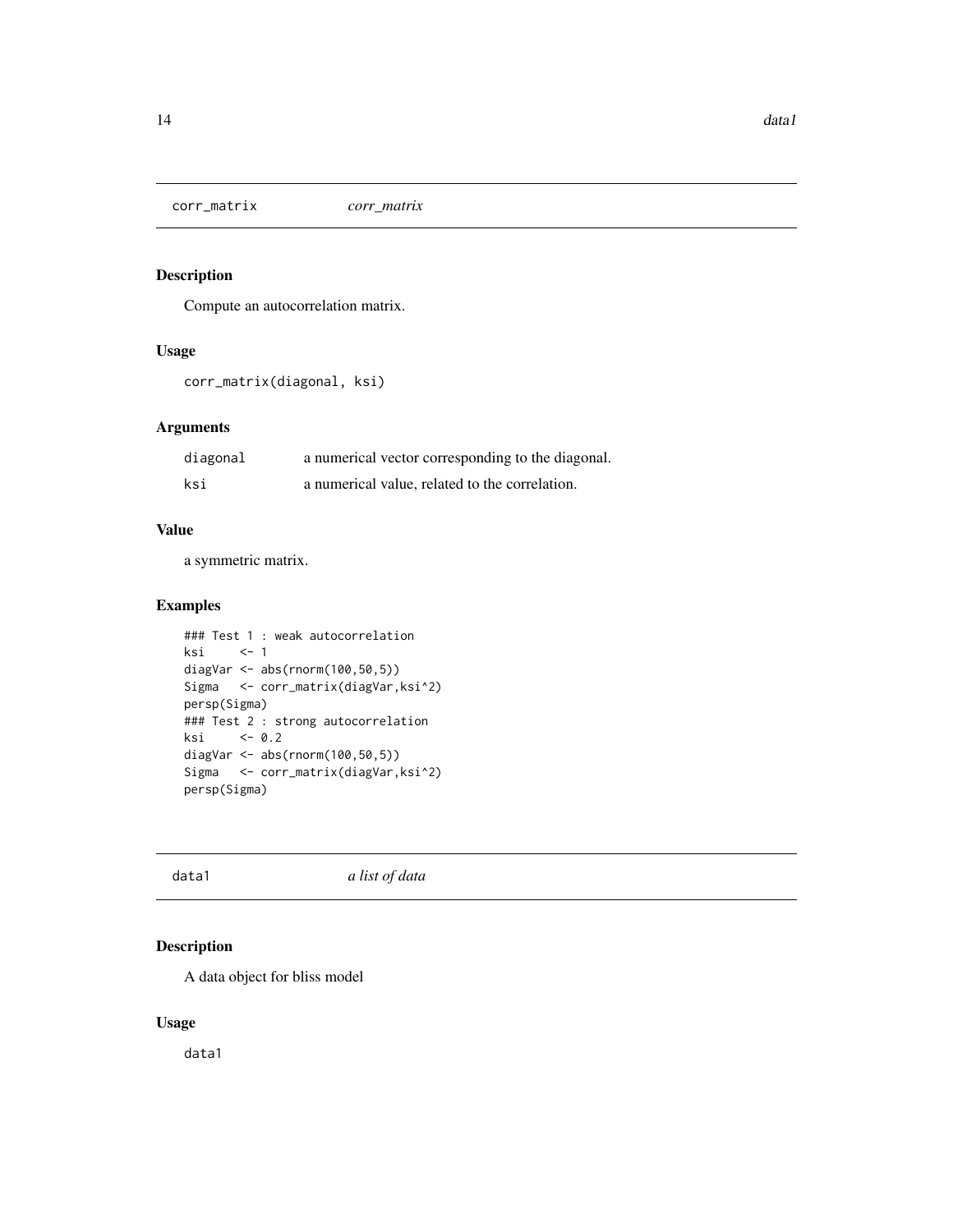<span id="page-13-0"></span>corr\_matrix *corr\_matrix*

### Description

Compute an autocorrelation matrix.

# Usage

```
corr_matrix(diagonal, ksi)
```
# Arguments

| diagonal | a numerical vector corresponding to the diagonal. |
|----------|---------------------------------------------------|
| ksi      | a numerical value, related to the correlation.    |

# Value

a symmetric matrix.

# Examples

```
### Test 1 : weak autocorrelation
ksi <- 1
diagVar <- abs(rnorm(100,50,5))
Sigma <- corr_matrix(diagVar,ksi^2)
persp(Sigma)
### Test 2 : strong autocorrelation
ksi <- 0.2
diagVar <- abs(rnorm(100,50,5))
Sigma <- corr_matrix(diagVar,ksi^2)
persp(Sigma)
```
data1 *a list of data*

# Description

A data object for bliss model

# Usage

data1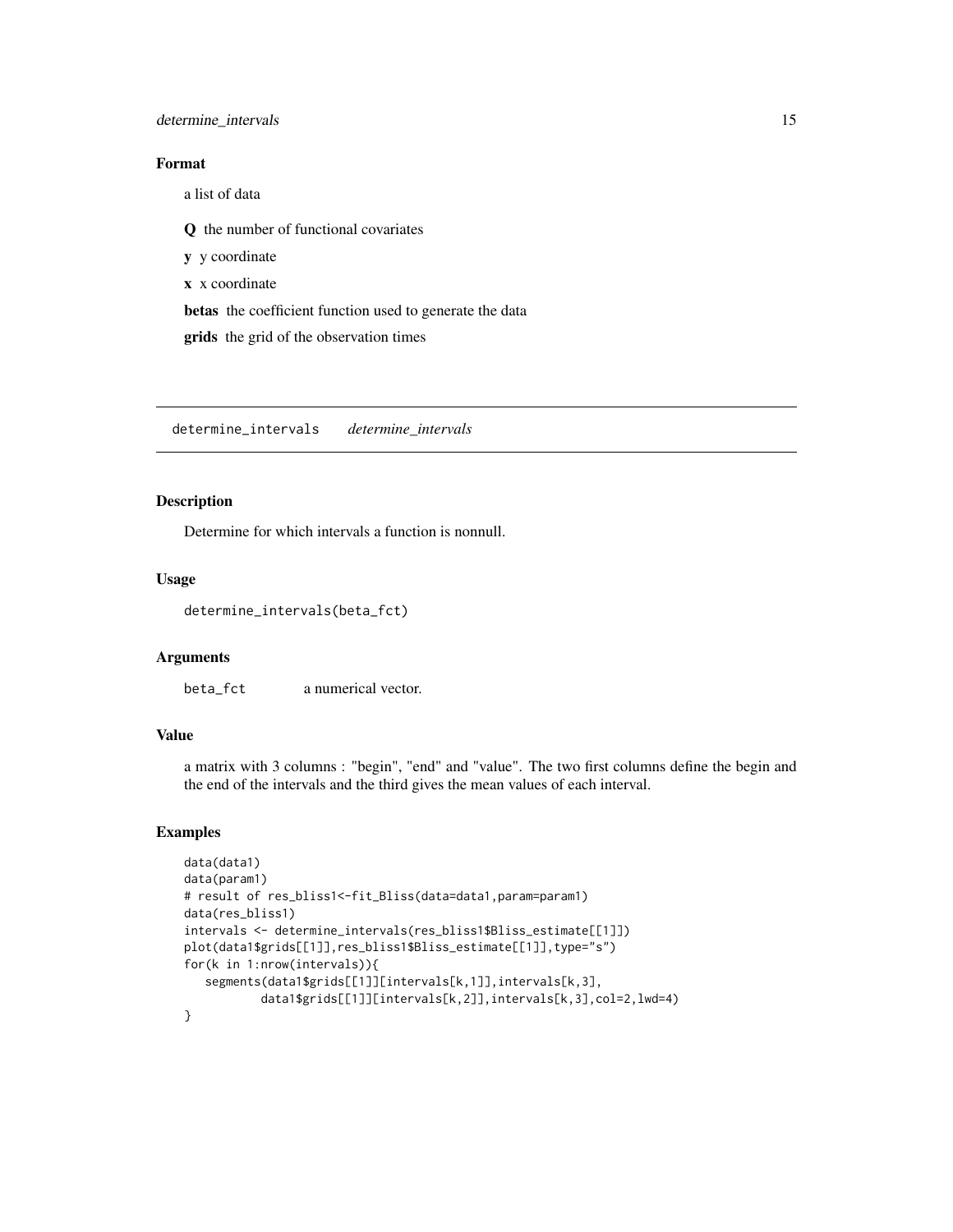# <span id="page-14-0"></span>determine\_intervals 15

#### Format

a list of data

Q the number of functional covariates

y y coordinate

x x coordinate

betas the coefficient function used to generate the data

grids the grid of the observation times

determine\_intervals *determine\_intervals*

#### Description

Determine for which intervals a function is nonnull.

#### Usage

```
determine_intervals(beta_fct)
```
#### Arguments

beta\_fct a numerical vector.

# Value

a matrix with 3 columns : "begin", "end" and "value". The two first columns define the begin and the end of the intervals and the third gives the mean values of each interval.

```
data(data1)
data(param1)
# result of res_bliss1<-fit_Bliss(data=data1,param=param1)
data(res_bliss1)
intervals <- determine_intervals(res_bliss1$Bliss_estimate[[1]])
plot(data1$grids[[1]],res_bliss1$Bliss_estimate[[1]],type="s")
for(k in 1:nrow(intervals)){
   segments(data1$grids[[1]][intervals[k,1]],intervals[k,3],
           data1$grids[[1]][intervals[k,2]],intervals[k,3],col=2,lwd=4)
}
```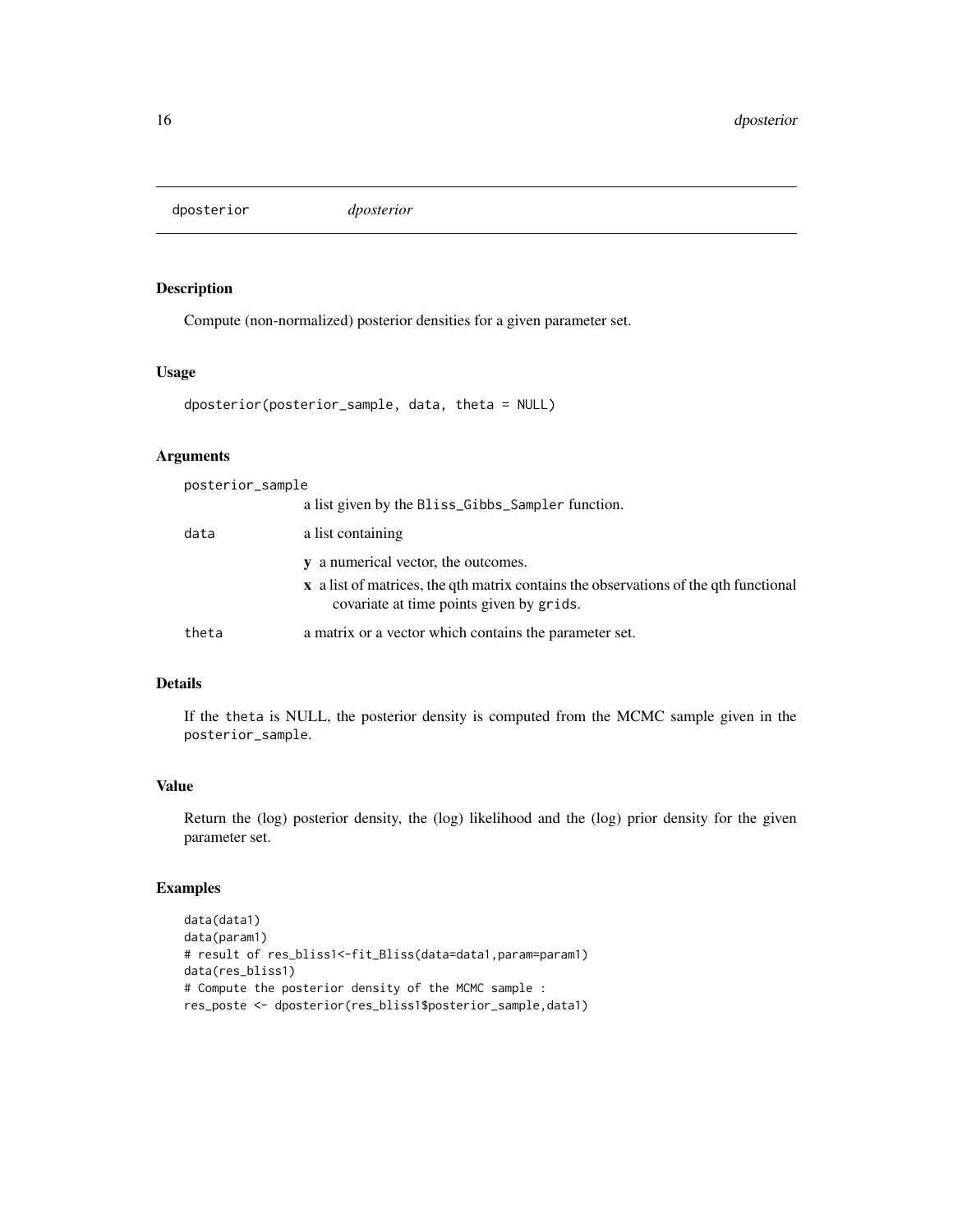<span id="page-15-0"></span>dposterior *dposterior*

# Description

Compute (non-normalized) posterior densities for a given parameter set.

#### Usage

```
dposterior(posterior_sample, data, theta = NULL)
```
#### Arguments

| posterior_sample |                                                                                                                                         |  |
|------------------|-----------------------------------------------------------------------------------------------------------------------------------------|--|
|                  | a list given by the Bliss_Gibbs_Sampler function.                                                                                       |  |
| data             | a list containing                                                                                                                       |  |
|                  | y a numerical vector, the outcomes.                                                                                                     |  |
|                  | <b>x</b> a list of matrices, the qth matrix contains the observations of the qth functional<br>covariate at time points given by grids. |  |
| theta            | a matrix or a vector which contains the parameter set.                                                                                  |  |

### Details

If the theta is NULL, the posterior density is computed from the MCMC sample given in the posterior\_sample.

#### Value

Return the (log) posterior density, the (log) likelihood and the (log) prior density for the given parameter set.

```
data(data1)
data(param1)
# result of res_bliss1<-fit_Bliss(data=data1,param=param1)
data(res_bliss1)
# Compute the posterior density of the MCMC sample :
res_poste <- dposterior(res_bliss1$posterior_sample,data1)
```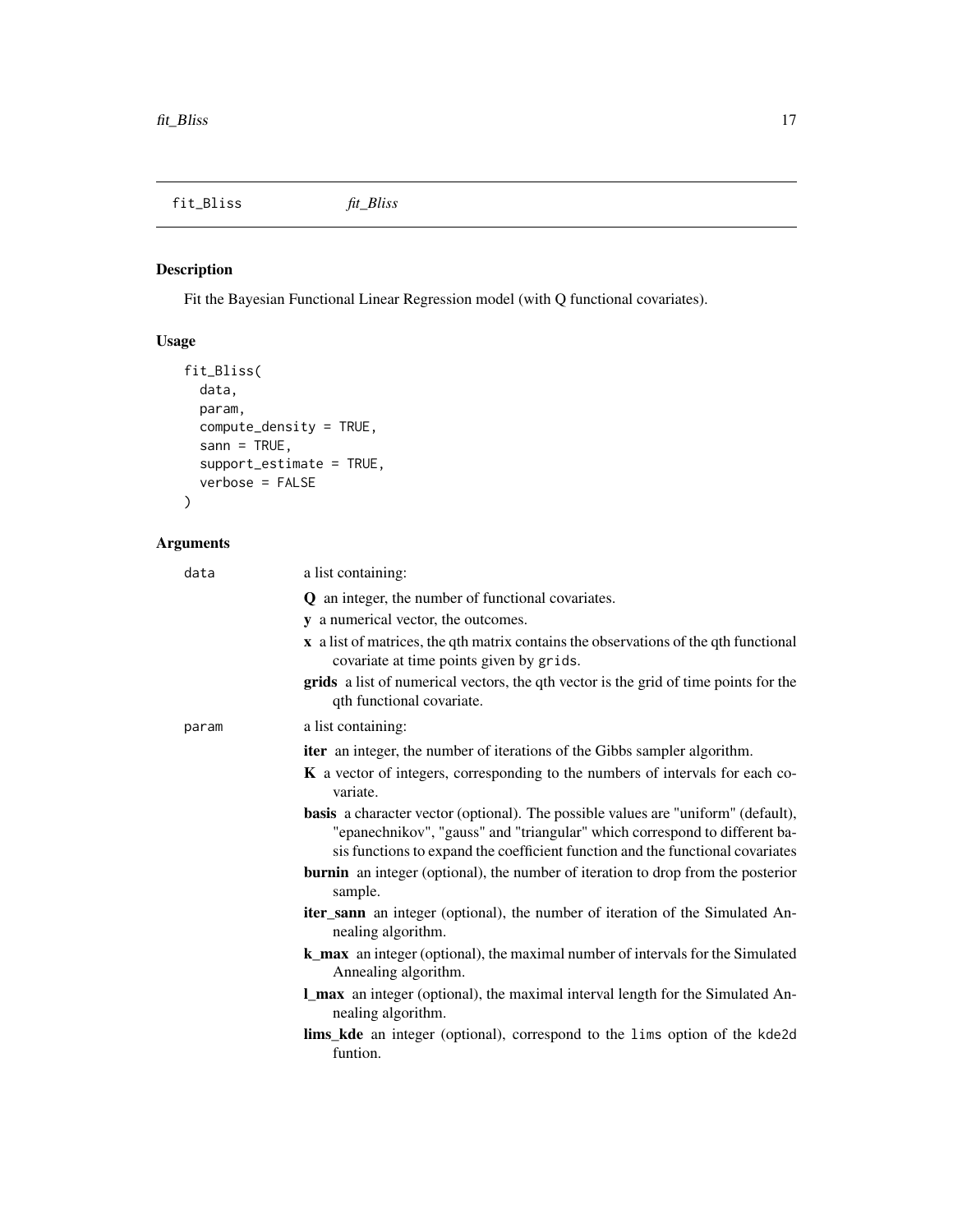<span id="page-16-0"></span>fit\_Bliss *fit\_Bliss*

# Description

Fit the Bayesian Functional Linear Regression model (with Q functional covariates).

# Usage

```
fit_Bliss(
 data,
 param,
 compute_density = TRUE,
 sann = TRUE,support_estimate = TRUE,
  verbose = FALSE
)
```
# Arguments

| data  | a list containing:                                                                                                                                                                                                                                       |
|-------|----------------------------------------------------------------------------------------------------------------------------------------------------------------------------------------------------------------------------------------------------------|
|       | <b>Q</b> an integer, the number of functional covariates.                                                                                                                                                                                                |
|       | y a numerical vector, the outcomes.                                                                                                                                                                                                                      |
|       | $\bf{x}$ a list of matrices, the qth matrix contains the observations of the qth functional<br>covariate at time points given by grids.                                                                                                                  |
|       | grids a list of numerical vectors, the qth vector is the grid of time points for the<br>qth functional covariate.                                                                                                                                        |
| param | a list containing:                                                                                                                                                                                                                                       |
|       | <b>iter</b> an integer, the number of iterations of the Gibbs sampler algorithm.                                                                                                                                                                         |
|       | <b>K</b> a vector of integers, corresponding to the numbers of intervals for each co-<br>variate.                                                                                                                                                        |
|       | <b>basis</b> a character vector (optional). The possible values are "uniform" (default),<br>"epanechnikov", "gauss" and "triangular" which correspond to different ba-<br>sis functions to expand the coefficient function and the functional covariates |
|       | <b>burnin</b> an integer (optional), the number of iteration to drop from the posterior<br>sample.                                                                                                                                                       |
|       | <b>iter_sann</b> an integer (optional), the number of iteration of the Simulated An-<br>nealing algorithm.                                                                                                                                               |
|       | <b>k_max</b> an integer (optional), the maximal number of intervals for the Simulated<br>Annealing algorithm.                                                                                                                                            |
|       | <b>L_max</b> an integer (optional), the maximal interval length for the Simulated An-<br>nealing algorithm.                                                                                                                                              |
|       | <b>lims_kde</b> an integer (optional), correspond to the lims option of the kde2d<br>funtion.                                                                                                                                                            |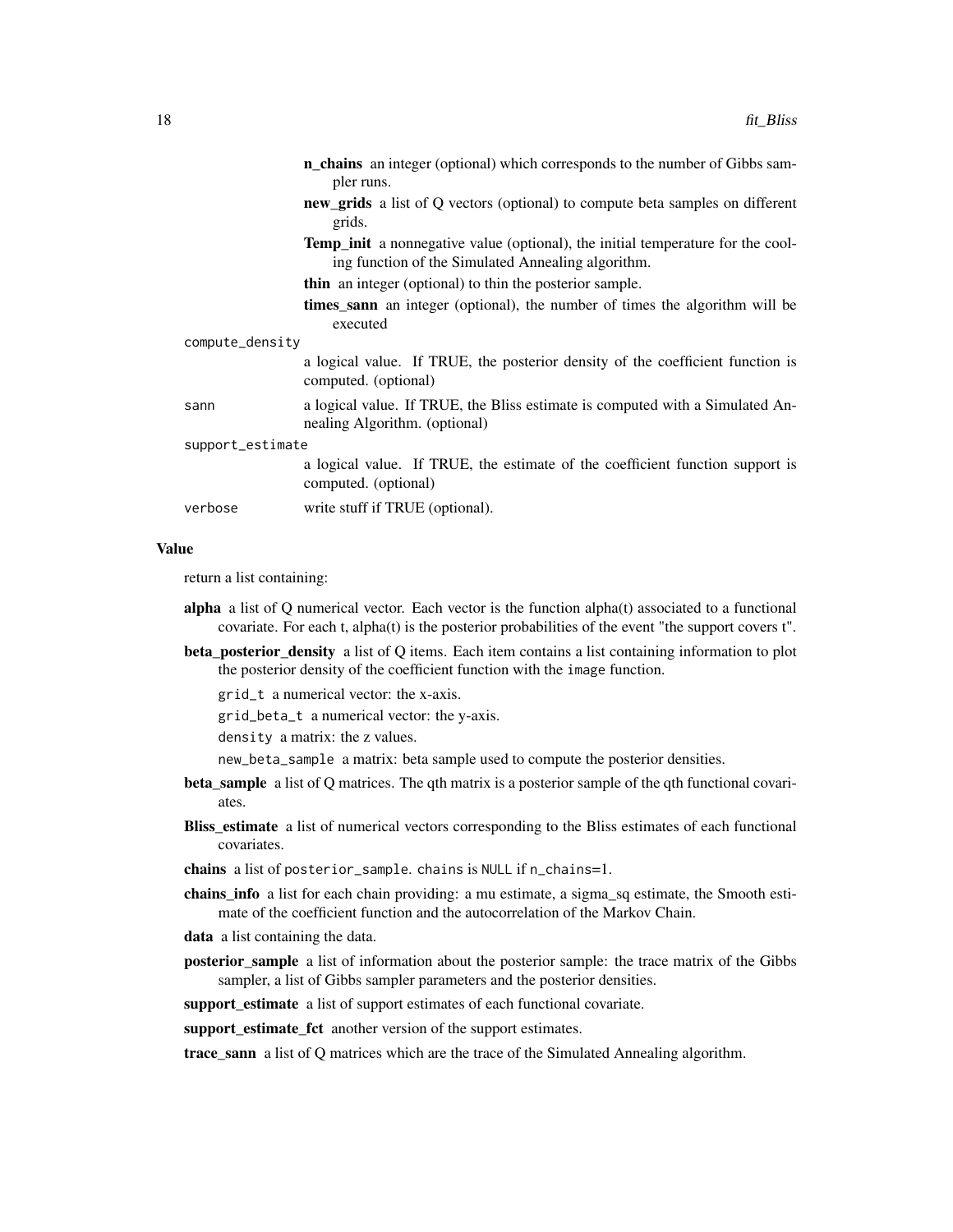|                  | <b>n_chains</b> an integer (optional) which corresponds to the number of Gibbs sam-<br>pler runs.                                            |
|------------------|----------------------------------------------------------------------------------------------------------------------------------------------|
|                  | <b>new_grids</b> a list of Q vectors (optional) to compute beta samples on different<br>grids.                                               |
|                  | <b>Temp init</b> a nonnegative value (optional), the initial temperature for the cool-<br>ing function of the Simulated Annealing algorithm. |
|                  | <b>thin</b> an integer (optional) to thin the posterior sample.                                                                              |
|                  | <b>times sann</b> an integer (optional), the number of times the algorithm will be<br>executed                                               |
| compute_density  |                                                                                                                                              |
|                  | a logical value. If TRUE, the posterior density of the coefficient function is<br>computed. (optional)                                       |
| sann             | a logical value. If TRUE, the Bliss estimate is computed with a Simulated An-<br>nealing Algorithm. (optional)                               |
| support_estimate |                                                                                                                                              |
|                  | a logical value. If TRUE, the estimate of the coefficient function support is<br>computed. (optional)                                        |
| verbose          | write stuff if TRUE (optional).                                                                                                              |

return a list containing:

- alpha a list of  $Q$  numerical vector. Each vector is the function alpha $(t)$  associated to a functional covariate. For each t, alpha(t) is the posterior probabilities of the event "the support covers t".
- beta\_posterior\_density a list of Q items. Each item contains a list containing information to plot the posterior density of the coefficient function with the image function.

grid\_t a numerical vector: the x-axis.

grid\_beta\_t a numerical vector: the y-axis.

density a matrix: the z values.

new\_beta\_sample a matrix: beta sample used to compute the posterior densities.

- beta\_sample a list of Q matrices. The qth matrix is a posterior sample of the qth functional covariates.
- Bliss\_estimate a list of numerical vectors corresponding to the Bliss estimates of each functional covariates.

chains a list of posterior\_sample. chains is NULL if n\_chains=1.

- chains\_info a list for each chain providing: a mu estimate, a sigma\_sq estimate, the Smooth estimate of the coefficient function and the autocorrelation of the Markov Chain.
- data a list containing the data.
- **posterior sample** a list of information about the posterior sample: the trace matrix of the Gibbs sampler, a list of Gibbs sampler parameters and the posterior densities.

support\_estimate a list of support estimates of each functional covariate.

support\_estimate\_fct another version of the support estimates.

trace\_sann a list of Q matrices which are the trace of the Simulated Annealing algorithm.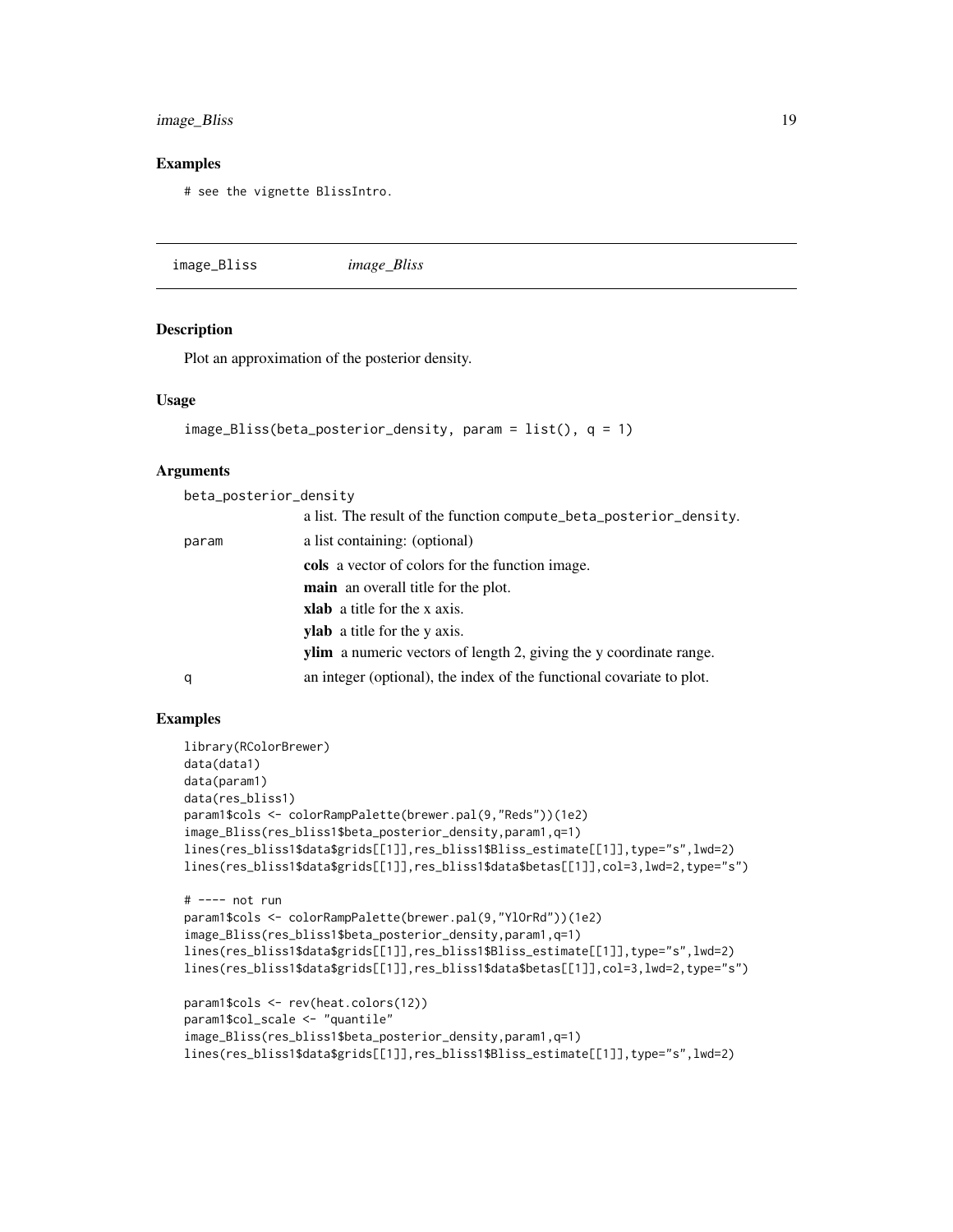### <span id="page-18-0"></span>image\_Bliss 19

#### Examples

# see the vignette BlissIntro.

image\_Bliss *image\_Bliss*

#### Description

Plot an approximation of the posterior density.

#### Usage

```
image_Bliss(beta_posterior_density, param = list(), q = 1)
```
#### Arguments

beta\_posterior\_density

|       | a list. The result of the function compute_beta_posterior_density.        |
|-------|---------------------------------------------------------------------------|
| param | a list containing: (optional)                                             |
|       | cols a vector of colors for the function image.                           |
|       | <b>main</b> an overall title for the plot.                                |
|       | <b>xlab</b> a title for the x axis.                                       |
|       | <b>ylab</b> a title for the y axis.                                       |
|       | <b>ylim</b> a numeric vectors of length 2, giving the y coordinate range. |
| q     | an integer (optional), the index of the functional covariate to plot.     |

```
library(RColorBrewer)
data(data1)
data(param1)
data(res_bliss1)
param1$cols <- colorRampPalette(brewer.pal(9,"Reds"))(1e2)
image_Bliss(res_bliss1$beta_posterior_density,param1,q=1)
lines(res_bliss1$data$grids[[1]],res_bliss1$Bliss_estimate[[1]],type="s",lwd=2)
lines(res_bliss1$data$grids[[1]],res_bliss1$data$betas[[1]],col=3,lwd=2,type="s")
# ---- not run
param1$cols <- colorRampPalette(brewer.pal(9,"YlOrRd"))(1e2)
image_Bliss(res_bliss1$beta_posterior_density,param1,q=1)
lines(res_bliss1$data$grids[[1]],res_bliss1$Bliss_estimate[[1]],type="s",lwd=2)
lines(res_bliss1$data$grids[[1]],res_bliss1$data$betas[[1]],col=3,lwd=2,type="s")
param1$cols <- rev(heat.colors(12))
param1$col_scale <- "quantile"
image_Bliss(res_bliss1$beta_posterior_density,param1,q=1)
lines(res_bliss1$data$grids[[1]],res_bliss1$Bliss_estimate[[1]],type="s",lwd=2)
```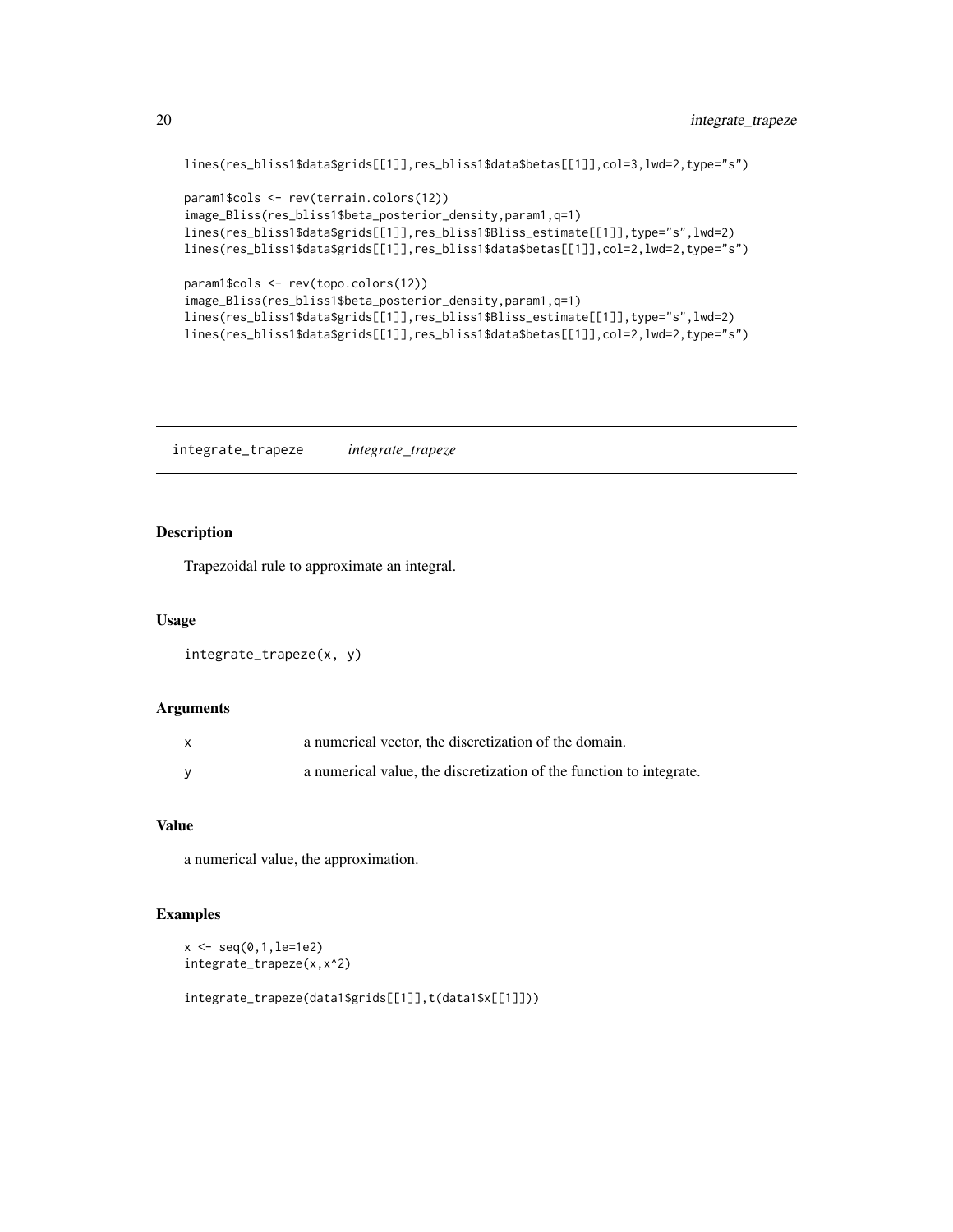```
lines(res_bliss1$data$grids[[1]],res_bliss1$data$betas[[1]],col=3,lwd=2,type="s")
```

```
param1$cols <- rev(terrain.colors(12))
image_Bliss(res_bliss1$beta_posterior_density,param1,q=1)
lines(res_bliss1$data$grids[[1]],res_bliss1$Bliss_estimate[[1]],type="s",lwd=2)
lines(res_bliss1$data$grids[[1]],res_bliss1$data$betas[[1]],col=2,lwd=2,type="s")
param1$cols <- rev(topo.colors(12))
```

```
image_Bliss(res_bliss1$beta_posterior_density,param1,q=1)
lines(res_bliss1$data$grids[[1]],res_bliss1$Bliss_estimate[[1]],type="s",lwd=2)
lines(res_bliss1$data$grids[[1]],res_bliss1$data$betas[[1]],col=2,lwd=2,type="s")
```
integrate\_trapeze *integrate\_trapeze*

## Description

Trapezoidal rule to approximate an integral.

#### Usage

```
integrate_trapeze(x, y)
```
# Arguments

| a numerical vector, the discretization of the domain.               |
|---------------------------------------------------------------------|
| a numerical value, the discretization of the function to integrate. |

#### Value

a numerical value, the approximation.

# Examples

```
x \leq -\text{seq}(0, 1, \text{le} = 1e2)integrate_trapeze(x,x^2)
```
integrate\_trapeze(data1\$grids[[1]],t(data1\$x[[1]]))

<span id="page-19-0"></span>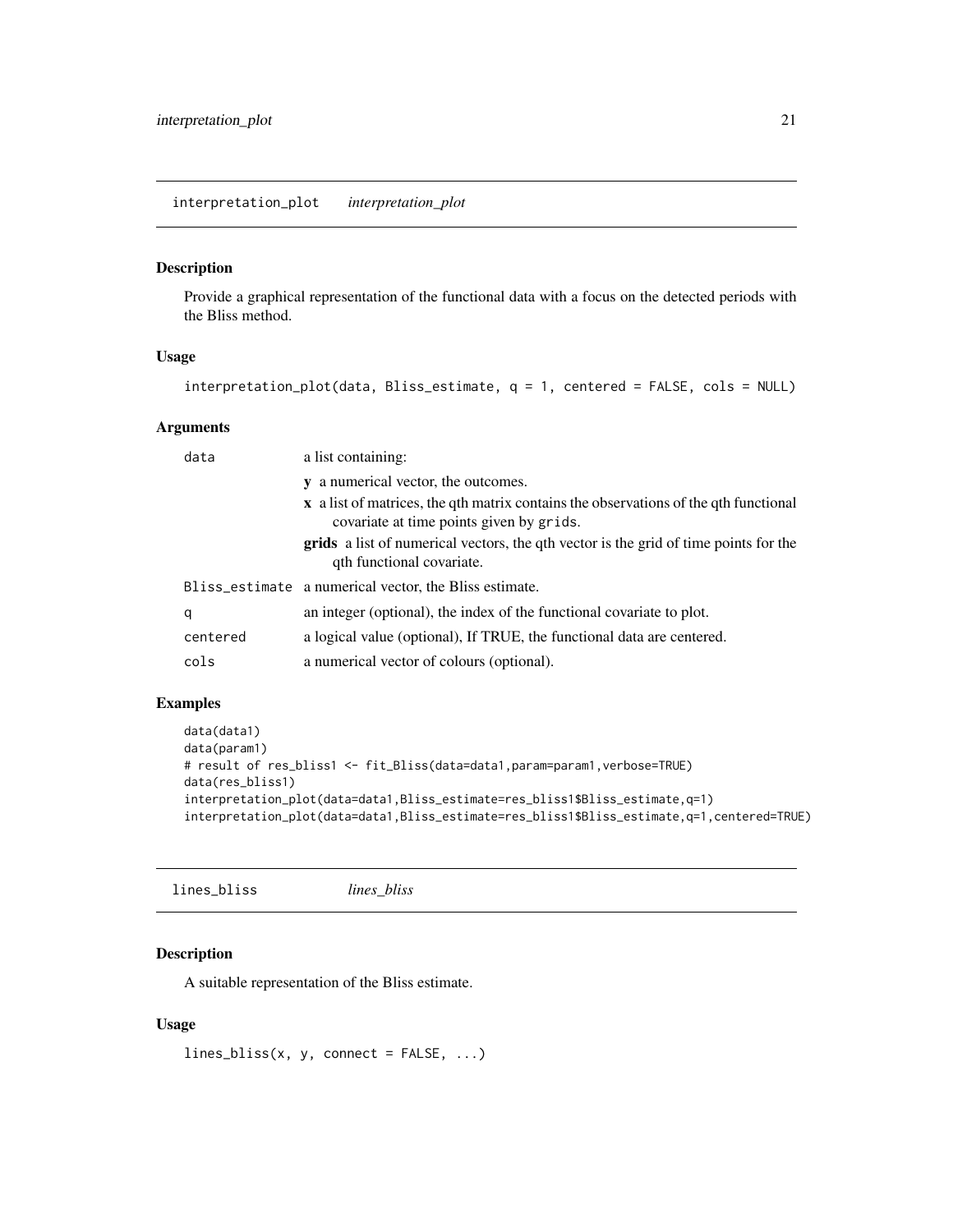#### <span id="page-20-0"></span>Description

Provide a graphical representation of the functional data with a focus on the detected periods with the Bliss method.

#### Usage

```
interpretation_plot(data, Bliss_estimate, q = 1, centered = FALSE, cols = NULL)
```
# Arguments

| data     | a list containing:                                                                                                               |
|----------|----------------------------------------------------------------------------------------------------------------------------------|
|          | y a numerical vector, the outcomes.                                                                                              |
|          | x a list of matrices, the qth matrix contains the observations of the qth functional<br>covariate at time points given by grids. |
|          | grids a list of numerical vectors, the qth vector is the grid of time points for the<br>qth functional covariate.                |
|          | Bliss_estimate a numerical vector, the Bliss estimate.                                                                           |
| q        | an integer (optional), the index of the functional covariate to plot.                                                            |
| centered | a logical value (optional), If TRUE, the functional data are centered.                                                           |
| cols     | a numerical vector of colours (optional).                                                                                        |

# Examples

```
data(data1)
data(param1)
# result of res_bliss1 <- fit_Bliss(data=data1,param=param1,verbose=TRUE)
data(res_bliss1)
interpretation_plot(data=data1,Bliss_estimate=res_bliss1$Bliss_estimate,q=1)
interpretation_plot(data=data1,Bliss_estimate=res_bliss1$Bliss_estimate,q=1,centered=TRUE)
```
lines\_bliss *lines\_bliss*

# Description

A suitable representation of the Bliss estimate.

# Usage

```
lines\_bliss(x, y, connect = FALSE, ...)
```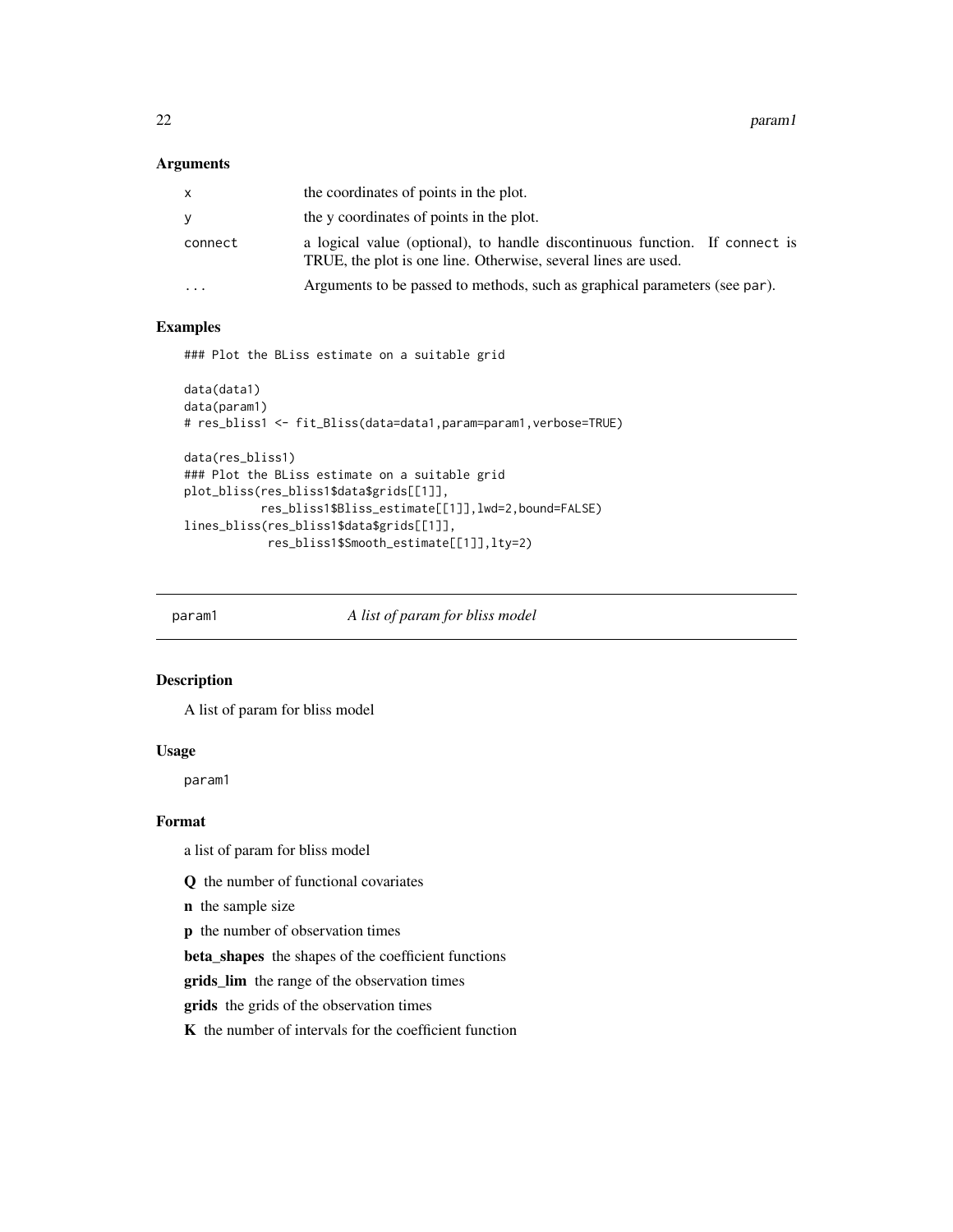# <span id="page-21-0"></span>Arguments

| x                       | the coordinates of points in the plot.                                                                                                        |
|-------------------------|-----------------------------------------------------------------------------------------------------------------------------------------------|
| v                       | the y coordinates of points in the plot.                                                                                                      |
| connect                 | a logical value (optional), to handle discontinuous function. If connect is<br>TRUE, the plot is one line. Otherwise, several lines are used. |
| $\cdot$ $\cdot$ $\cdot$ | Arguments to be passed to methods, such as graphical parameters (see par).                                                                    |
|                         |                                                                                                                                               |

# Examples

### Plot the BLiss estimate on a suitable grid

```
data(data1)
data(param1)
# res_bliss1 <- fit_Bliss(data=data1,param=param1,verbose=TRUE)
data(res_bliss1)
### Plot the BLiss estimate on a suitable grid
plot_bliss(res_bliss1$data$grids[[1]],
           res_bliss1$Bliss_estimate[[1]],lwd=2,bound=FALSE)
lines_bliss(res_bliss1$data$grids[[1]],
            res_bliss1$Smooth_estimate[[1]],lty=2)
```
param1 *A list of param for bliss model*

#### Description

A list of param for bliss model

#### Usage

param1

#### Format

a list of param for bliss model

Q the number of functional covariates

n the sample size

p the number of observation times

beta\_shapes the shapes of the coefficient functions

grids\_lim the range of the observation times

grids the grids of the observation times

K the number of intervals for the coefficient function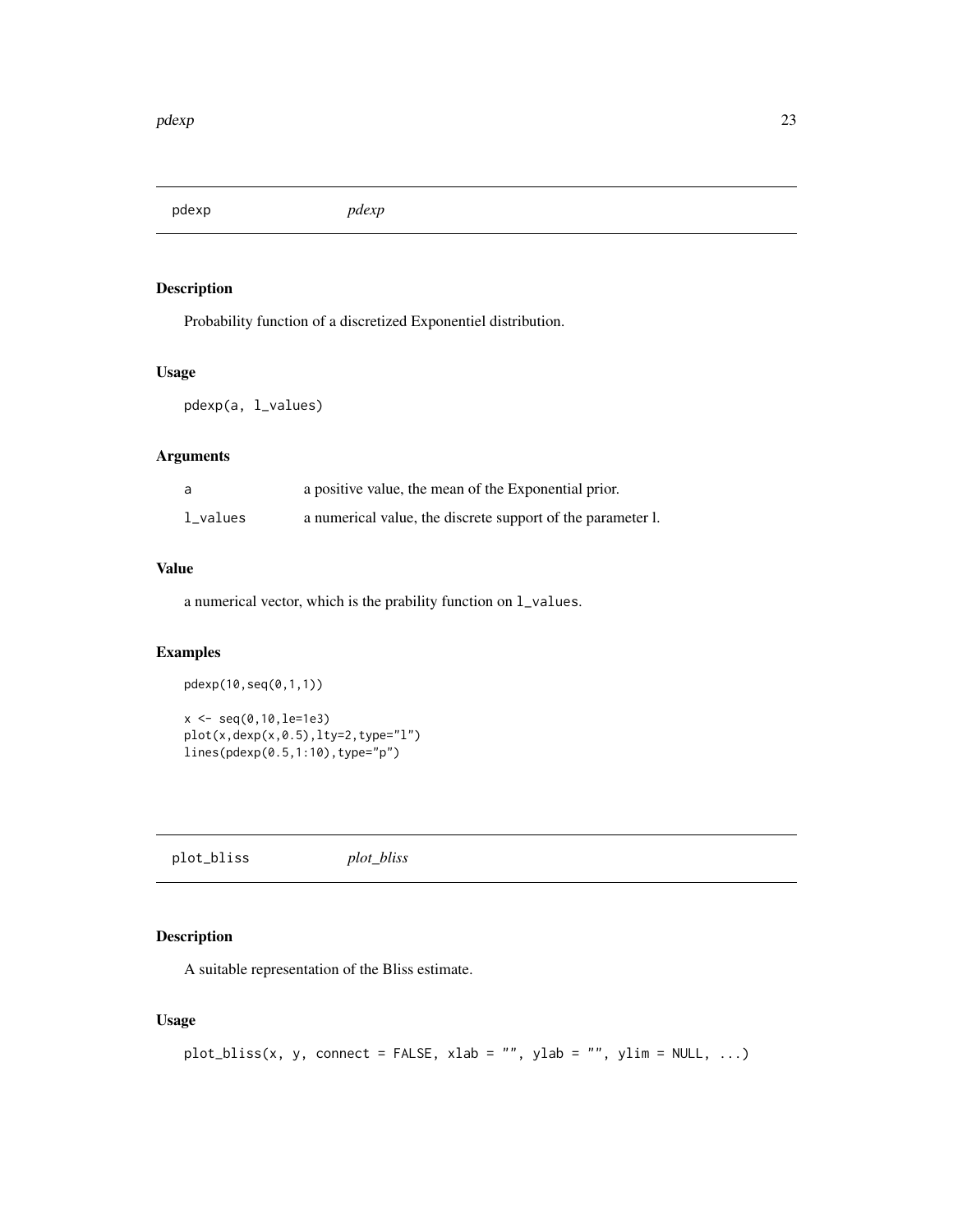<span id="page-22-0"></span>pdexp *pdexp*

# Description

Probability function of a discretized Exponentiel distribution.

#### Usage

pdexp(a, l\_values)

# Arguments

| a        | a positive value, the mean of the Exponential prior.        |
|----------|-------------------------------------------------------------|
| l_values | a numerical value, the discrete support of the parameter 1. |

# Value

a numerical vector, which is the prability function on l\_values.

# Examples

pdexp(10,seq(0,1,1)) x <- seq(0,10,le=1e3) plot(x,dexp(x,0.5),lty=2,type="l") lines(pdexp(0.5,1:10),type="p")

plot\_bliss *plot\_bliss*

# Description

A suitable representation of the Bliss estimate.

# Usage

```
plot_bliss(x, y, connect = FALSE, xlab = "", ylab = "", ylim = NULL, ...)
```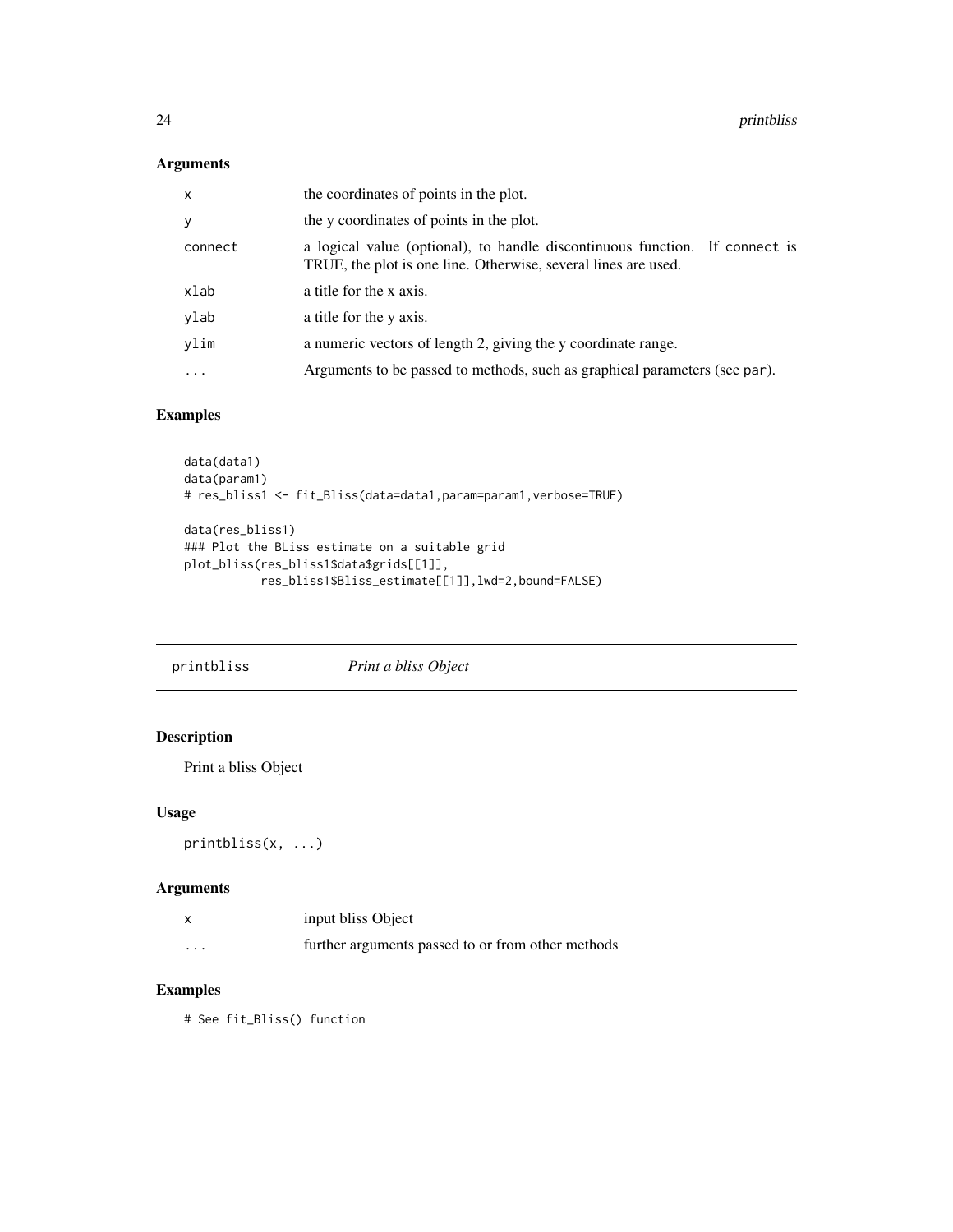# <span id="page-23-0"></span>Arguments

| X         | the coordinates of points in the plot.                                                                                                        |  |
|-----------|-----------------------------------------------------------------------------------------------------------------------------------------------|--|
| У         | the y coordinates of points in the plot.                                                                                                      |  |
| connect   | a logical value (optional), to handle discontinuous function. If connect is<br>TRUE, the plot is one line. Otherwise, several lines are used. |  |
| xlab      | a title for the x axis.                                                                                                                       |  |
| ylab      | a title for the y axis.                                                                                                                       |  |
| vlim      | a numeric vectors of length 2, giving the y coordinate range.                                                                                 |  |
| $\ddotsc$ | Arguments to be passed to methods, such as graphical parameters (see par).                                                                    |  |
|           |                                                                                                                                               |  |

# Examples

```
data(data1)
data(param1)
# res_bliss1 <- fit_Bliss(data=data1,param=param1,verbose=TRUE)
data(res_bliss1)
### Plot the BLiss estimate on a suitable grid
plot_bliss(res_bliss1$data$grids[[1]],
           res_bliss1$Bliss_estimate[[1]],lwd=2,bound=FALSE)
```
# Description

Print a bliss Object

# Usage

```
printbliss(x, ...)
```
# Arguments

|          | input bliss Object                                |
|----------|---------------------------------------------------|
| $\cdots$ | further arguments passed to or from other methods |

# Examples

# See fit\_Bliss() function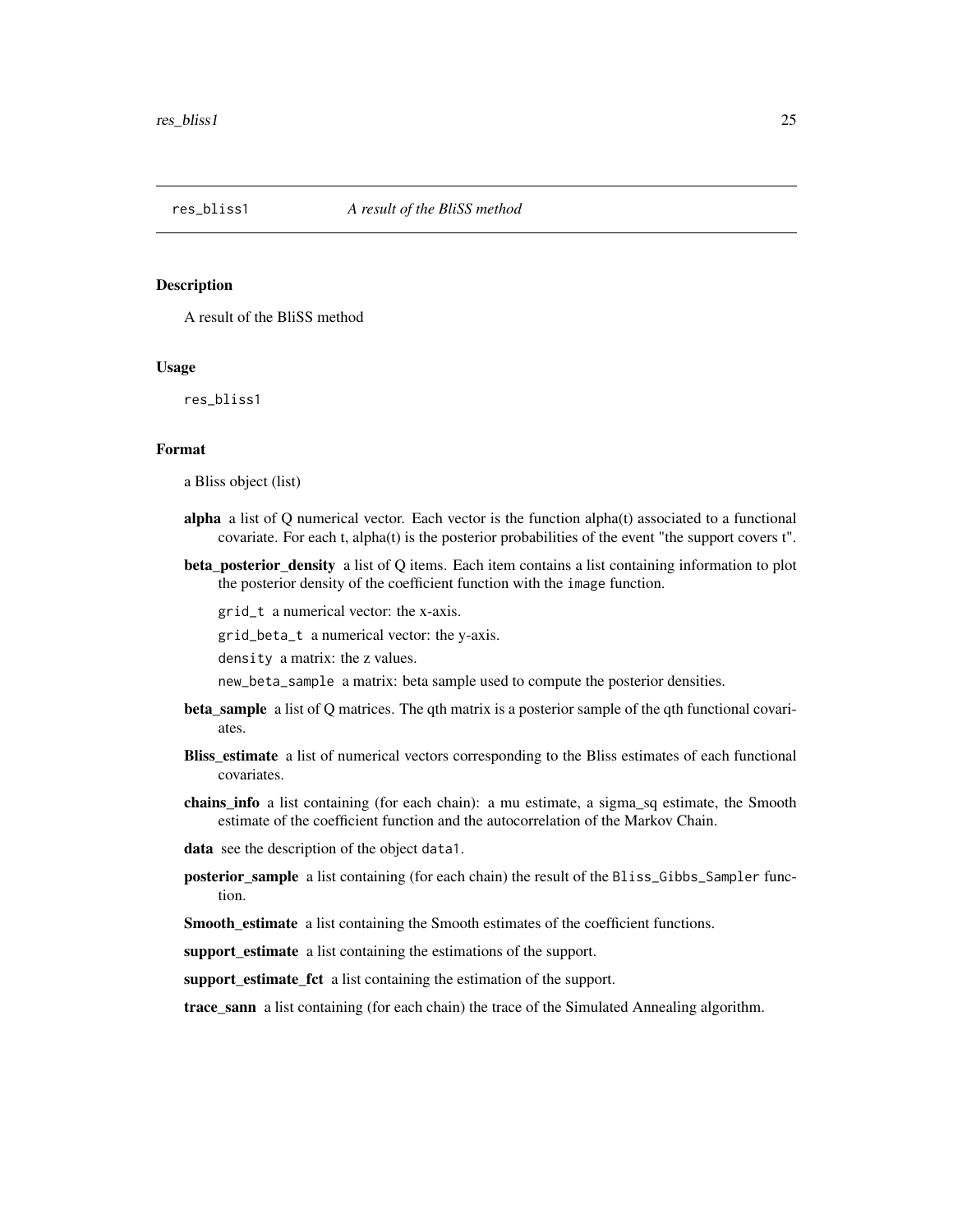<span id="page-24-0"></span>

#### Description

A result of the BliSS method

# Usage

res\_bliss1

#### Format

a Bliss object (list)

- alpha a list of Q numerical vector. Each vector is the function alpha(t) associated to a functional covariate. For each t, alpha(t) is the posterior probabilities of the event "the support covers t".
- beta\_posterior\_density a list of Q items. Each item contains a list containing information to plot the posterior density of the coefficient function with the image function.

grid\_t a numerical vector: the x-axis.

grid\_beta\_t a numerical vector: the y-axis.

density a matrix: the z values.

new\_beta\_sample a matrix: beta sample used to compute the posterior densities.

- beta\_sample a list of Q matrices. The qth matrix is a posterior sample of the qth functional covariates.
- **Bliss estimate** a list of numerical vectors corresponding to the Bliss estimates of each functional covariates.
- chains\_info a list containing (for each chain): a mu estimate, a sigma\_sq estimate, the Smooth estimate of the coefficient function and the autocorrelation of the Markov Chain.

data see the description of the object data1.

posterior\_sample a list containing (for each chain) the result of the Bliss\_Gibbs\_Sampler function.

Smooth\_estimate a list containing the Smooth estimates of the coefficient functions.

support\_estimate a list containing the estimations of the support.

support\_estimate\_fct a list containing the estimation of the support.

trace\_sann a list containing (for each chain) the trace of the Simulated Annealing algorithm.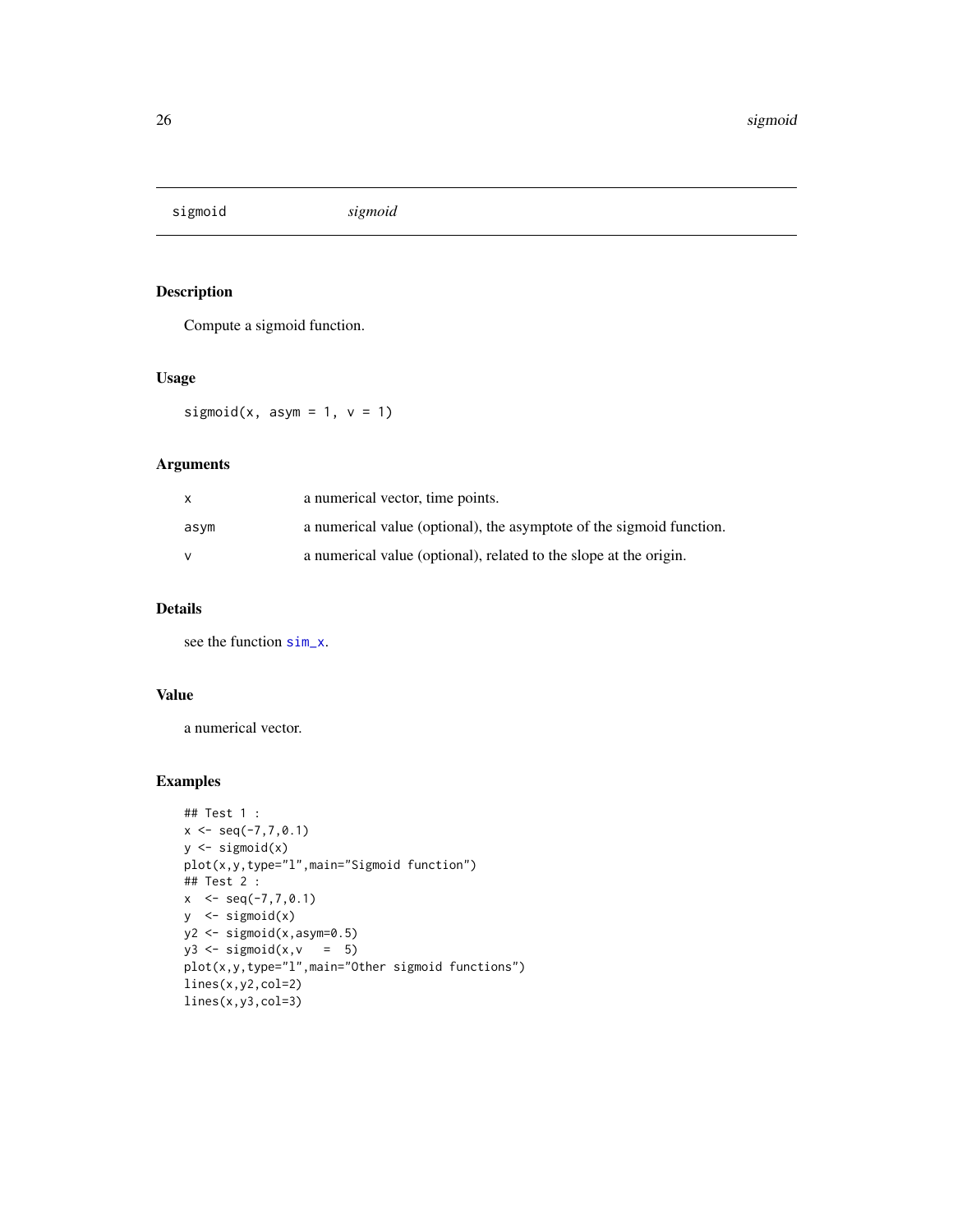<span id="page-25-0"></span>sigmoid *sigmoid*

# Description

Compute a sigmoid function.

# Usage

sigmoid(x, asym = 1,  $v = 1$ )

# Arguments

| X    | a numerical vector, time points.                                     |
|------|----------------------------------------------------------------------|
| asym | a numerical value (optional), the asymptote of the sigmoid function. |
|      | a numerical value (optional), related to the slope at the origin.    |

# Details

see the function [sim\\_x](#page-28-1).

# Value

a numerical vector.

```
## Test 1 :
x \leq -\text{seq}(-7, 7, 0.1)y \leftarrow sigmoid(x)
plot(x,y,type="l",main="Sigmoid function")
## Test 2 :
x < -seq(-7, 7, 0.1)y \le - sigmoid(x)
y2 <- sigmoid(x,asym=0.5)
y3 \leftarrow sigmoid(x,v = 5)
plot(x,y,type="l",main="Other sigmoid functions")
lines(x,y2,col=2)
lines(x,y3,col=3)
```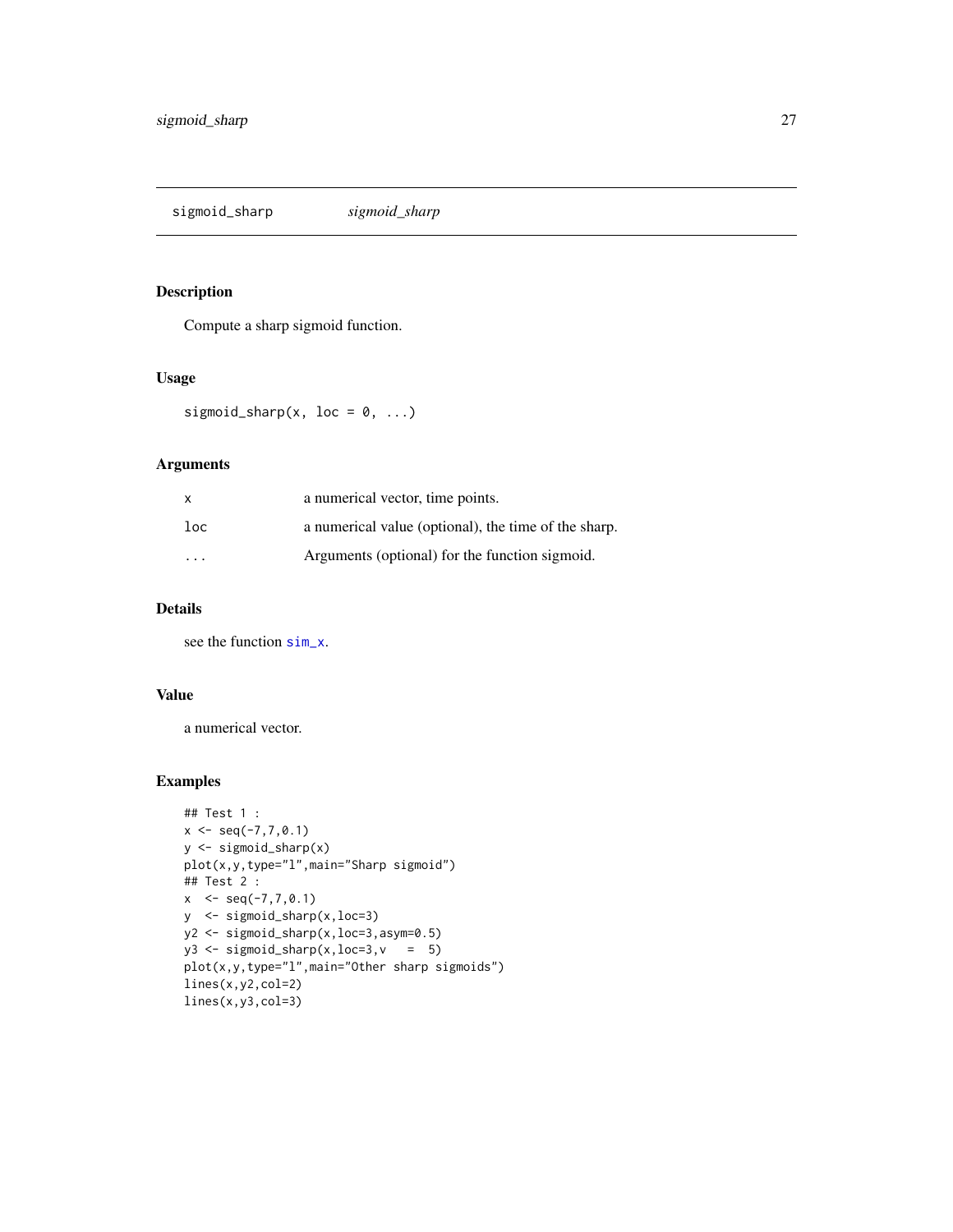<span id="page-26-0"></span>sigmoid\_sharp *sigmoid\_sharp*

## Description

Compute a sharp sigmoid function.

# Usage

sigmoid\_sharp(x, loc =  $0, ...$ )

# Arguments

| $\mathsf{x}$ | a numerical vector, time points.                     |
|--------------|------------------------------------------------------|
| $1$ oc       | a numerical value (optional), the time of the sharp. |
| .            | Arguments (optional) for the function sigmoid.       |

# Details

see the function [sim\\_x](#page-28-1).

# Value

a numerical vector.

```
## Test 1 :
x \leq -\text{seq}(-7, 7, 0.1)y <- sigmoid_sharp(x)
plot(x,y,type="l",main="Sharp sigmoid")
## Test 2 :
x < -seq(-7, 7, 0.1)y <- sigmoid_sharp(x,loc=3)
y2 <- sigmoid_sharp(x,loc=3,asym=0.5)
y3 \leftarrow sigmoid_sharp(x, loc=3, v = 5)
plot(x,y,type="l",main="Other sharp sigmoids")
lines(x,y2,col=2)
lines(x,y3,col=3)
```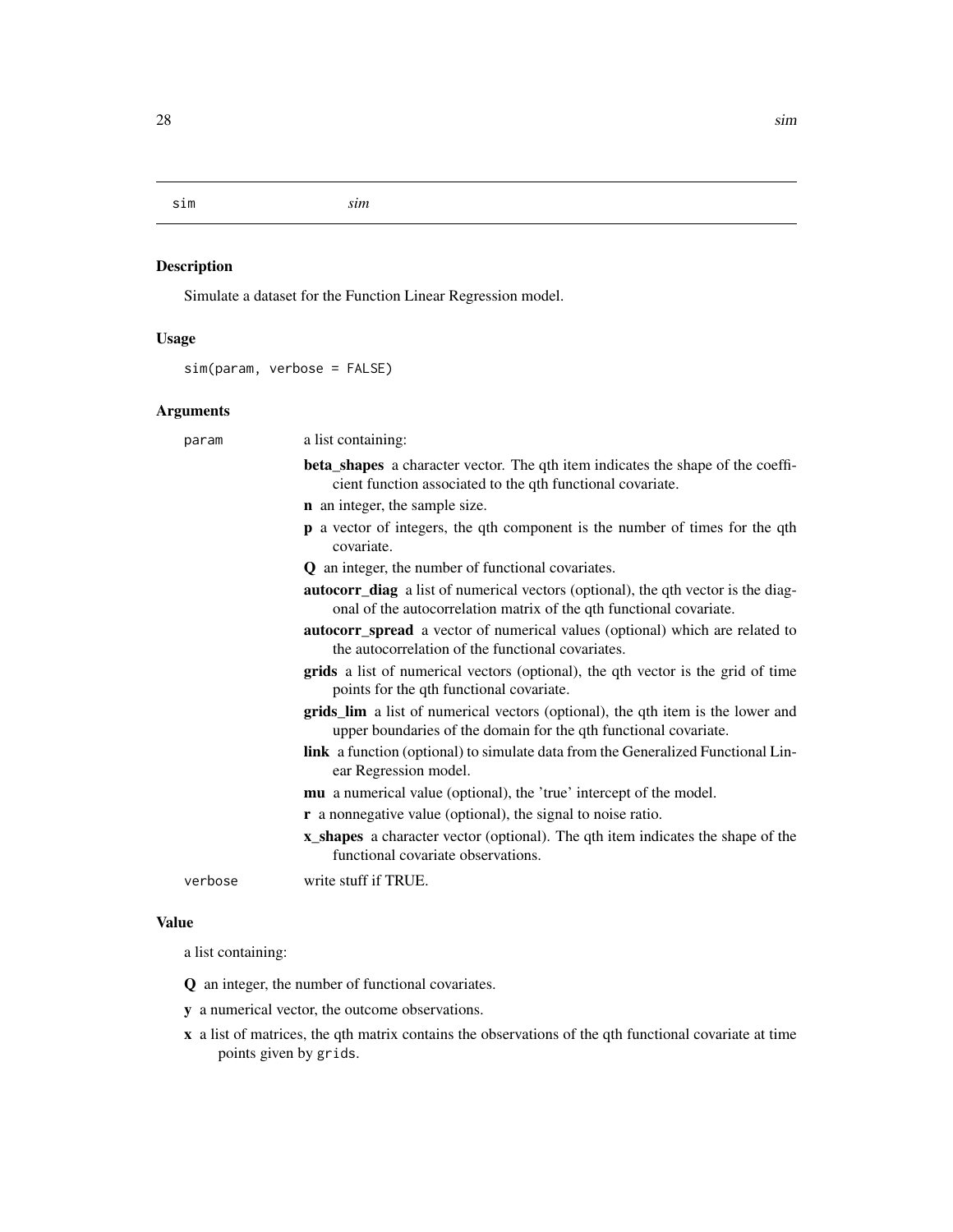<span id="page-27-0"></span>sim *sim*

# Description

Simulate a dataset for the Function Linear Regression model.

# Usage

sim(param, verbose = FALSE)

# Arguments

| param   | a list containing:                                                                                                                                              |
|---------|-----------------------------------------------------------------------------------------------------------------------------------------------------------------|
|         | beta_shapes a character vector. The qth item indicates the shape of the coeffi-<br>cient function associated to the qth functional covariate.                   |
|         | <b>n</b> an integer, the sample size.                                                                                                                           |
|         | p a vector of integers, the qth component is the number of times for the qth<br>covariate.                                                                      |
|         | <b>Q</b> an integer, the number of functional covariates.                                                                                                       |
|         | <b>autocorr_diag</b> a list of numerical vectors (optional), the qth vector is the diag-<br>onal of the autocorrelation matrix of the qth functional covariate. |
|         | autocorr_spread a vector of numerical values (optional) which are related to<br>the autocorrelation of the functional covariates.                               |
|         | <b>grids</b> a list of numerical vectors (optional), the qth vector is the grid of time<br>points for the qth functional covariate.                             |
|         | grids_lim a list of numerical vectors (optional), the qth item is the lower and<br>upper boundaries of the domain for the qth functional covariate.             |
|         | <b>link</b> a function (optional) to simulate data from the Generalized Functional Lin-<br>ear Regression model.                                                |
|         | <b>mu</b> a numerical value (optional), the 'true' intercept of the model.                                                                                      |
|         | <b>r</b> a nonnegative value (optional), the signal to noise ratio.                                                                                             |
|         | <b>x_shapes</b> a character vector (optional). The qth item indicates the shape of the<br>functional covariate observations.                                    |
| verbose | write stuff if TRUE.                                                                                                                                            |

#### Value

a list containing:

Q an integer, the number of functional covariates.

y a numerical vector, the outcome observations.

x a list of matrices, the qth matrix contains the observations of the qth functional covariate at time points given by grids.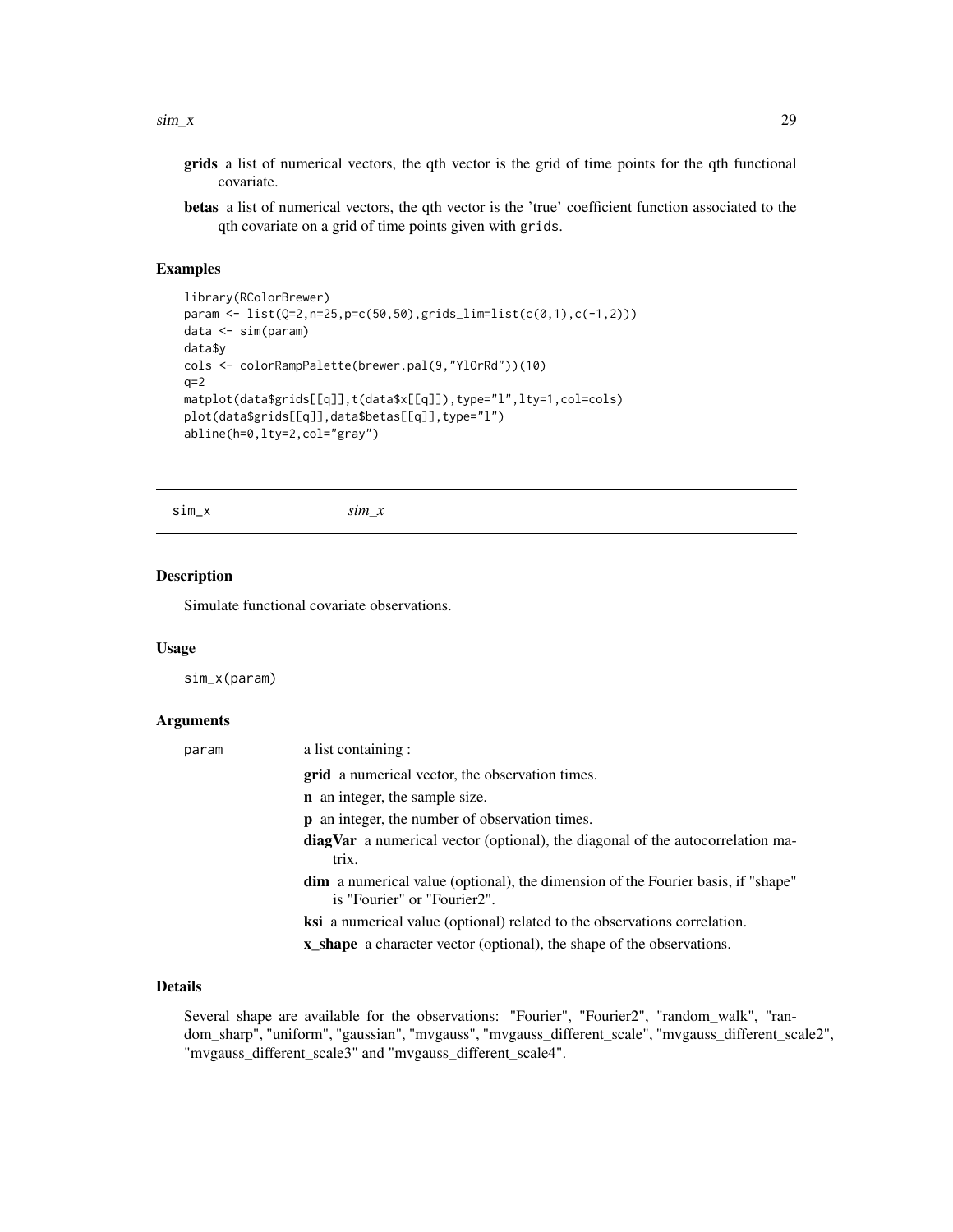#### <span id="page-28-0"></span> $\sin\theta = x$  29

- grids a list of numerical vectors, the qth vector is the grid of time points for the qth functional covariate.
- betas a list of numerical vectors, the qth vector is the 'true' coefficient function associated to the qth covariate on a grid of time points given with grids.

#### Examples

```
library(RColorBrewer)
param <- list(Q=2,n=25,p=c(50,50),grids_lim=list(c(0,1),c(-1,2)))
data <- sim(param)
data$y
cols <- colorRampPalette(brewer.pal(9,"YlOrRd"))(10)
q=2matplot(data$grids[[q]],t(data$x[[q]]),type="l",lty=1,col=cols)
plot(data$grids[[q]],data$betas[[q]],type="l")
abline(h=0,lty=2,col="gray")
```
<span id="page-28-1"></span>sim\_x *sim\_x*

#### Description

Simulate functional covariate observations.

#### Usage

sim\_x(param)

#### Arguments

| param | a list containing:                                                                                                     |
|-------|------------------------------------------------------------------------------------------------------------------------|
|       | <b>grid</b> a numerical vector, the observation times.                                                                 |
|       | <b>n</b> an integer, the sample size.                                                                                  |
|       | <b>p</b> an integer, the number of observation times.                                                                  |
|       | <b>diagVar</b> a numerical vector (optional), the diagonal of the autocorrelation ma-<br>trix.                         |
|       | <b>dim</b> a numerical value (optional), the dimension of the Fourier basis, if "shape"<br>is "Fourier" or "Fourier2". |
|       | ksi a numerical value (optional) related to the observations correlation.                                              |
|       | <b>x_shape</b> a character vector (optional), the shape of the observations.                                           |
|       |                                                                                                                        |

# Details

Several shape are available for the observations: "Fourier", "Fourier2", "random\_walk", "random\_sharp", "uniform", "gaussian", "mvgauss", "mvgauss\_different\_scale", "mvgauss\_different\_scale2", "mvgauss\_different\_scale3" and "mvgauss\_different\_scale4".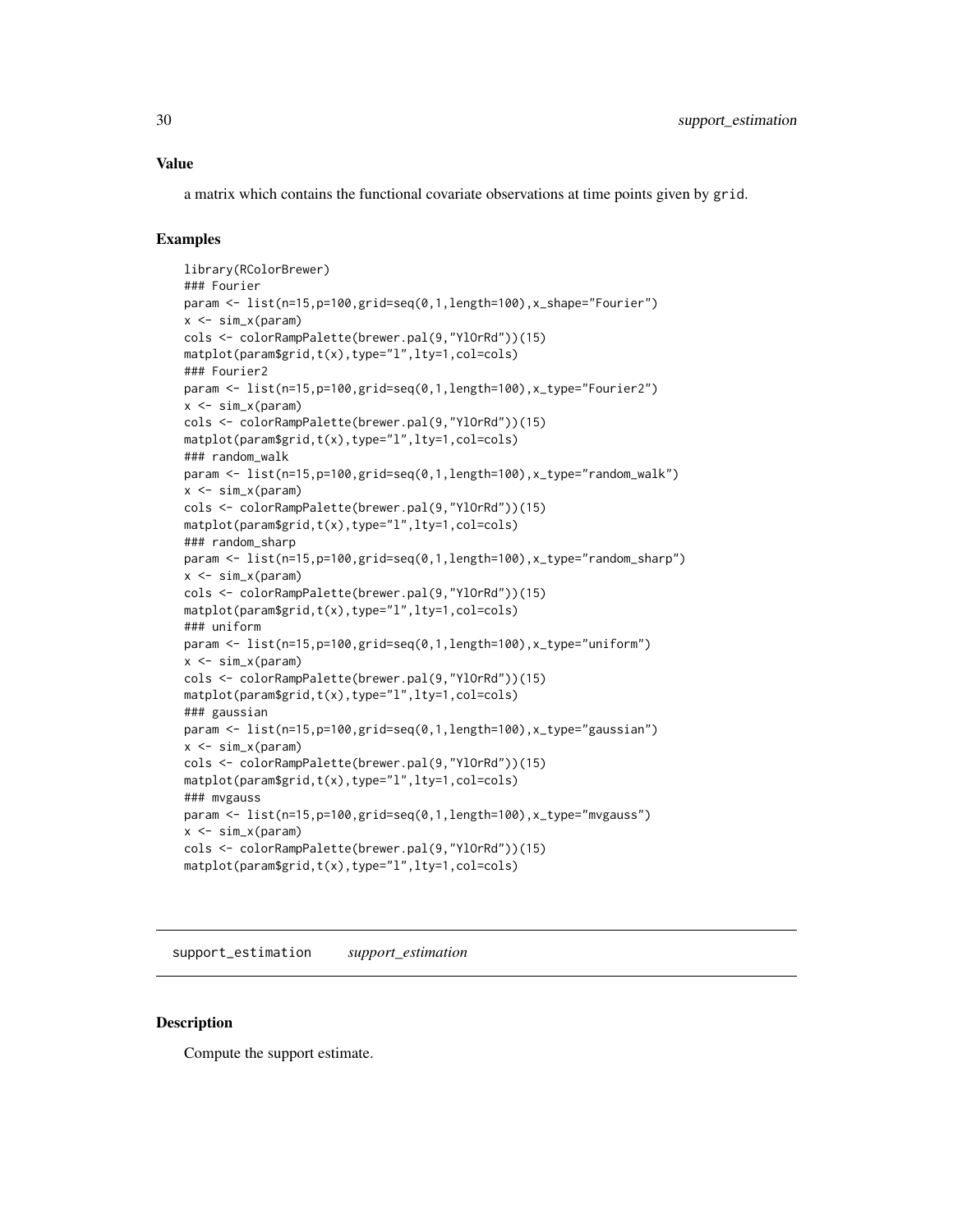<span id="page-29-0"></span>a matrix which contains the functional covariate observations at time points given by grid.

# Examples

```
library(RColorBrewer)
### Fourier
param <- list(n=15,p=100,grid=seq(0,1,length=100),x_shape="Fourier")
x \le -\sin x(\text{param})cols <- colorRampPalette(brewer.pal(9,"YlOrRd"))(15)
matplot(param$grid,t(x),type="l",lty=1,col=cols)
### Fourier2
param <- list(n=15,p=100,grid=seq(0,1,length=100),x_type="Fourier2")
x \leftarrow \text{sim}_x(\text{param})cols <- colorRampPalette(brewer.pal(9,"YlOrRd"))(15)
matplot(param$grid,t(x),type="l",lty=1,col=cols)
### random_walk
param <- list(n=15,p=100,grid=seq(0,1,length=100),x_type="random_walk")
x \leftarrow \text{sim}_x(\text{param})cols <- colorRampPalette(brewer.pal(9,"YlOrRd"))(15)
matplot(param$grid,t(x),type="l",lty=1,col=cols)
### random_sharp
param <- list(n=15,p=100,grid=seq(0,1,length=100),x_type="random_sharp")
x \le -\sin x(\text{param})cols <- colorRampPalette(brewer.pal(9,"YlOrRd"))(15)
matplot(param$grid,t(x),type="l",lty=1,col=cols)
### uniform
param <- list(n=15,p=100,grid=seq(0,1,length=100),x_type="uniform")
x \leftarrow \text{sim}_x(\text{param})cols <- colorRampPalette(brewer.pal(9,"YlOrRd"))(15)
matplot(param$grid,t(x),type="l",lty=1,col=cols)
### gaussian
param <- list(n=15,p=100,grid=seq(0,1,length=100),x_type="gaussian")
x \leftarrow \text{sim}_x(\text{param})cols <- colorRampPalette(brewer.pal(9,"YlOrRd"))(15)
matplot(param$grid,t(x),type="l",lty=1,col=cols)
### mvgauss
param <- list(n=15,p=100,grid=seq(0,1,length=100),x_type="mvgauss")
x <- sim_x(param)
cols <- colorRampPalette(brewer.pal(9,"YlOrRd"))(15)
matplot(param$grid,t(x),type="l",lty=1,col=cols)
```
support\_estimation *support\_estimation*

#### Description

Compute the support estimate.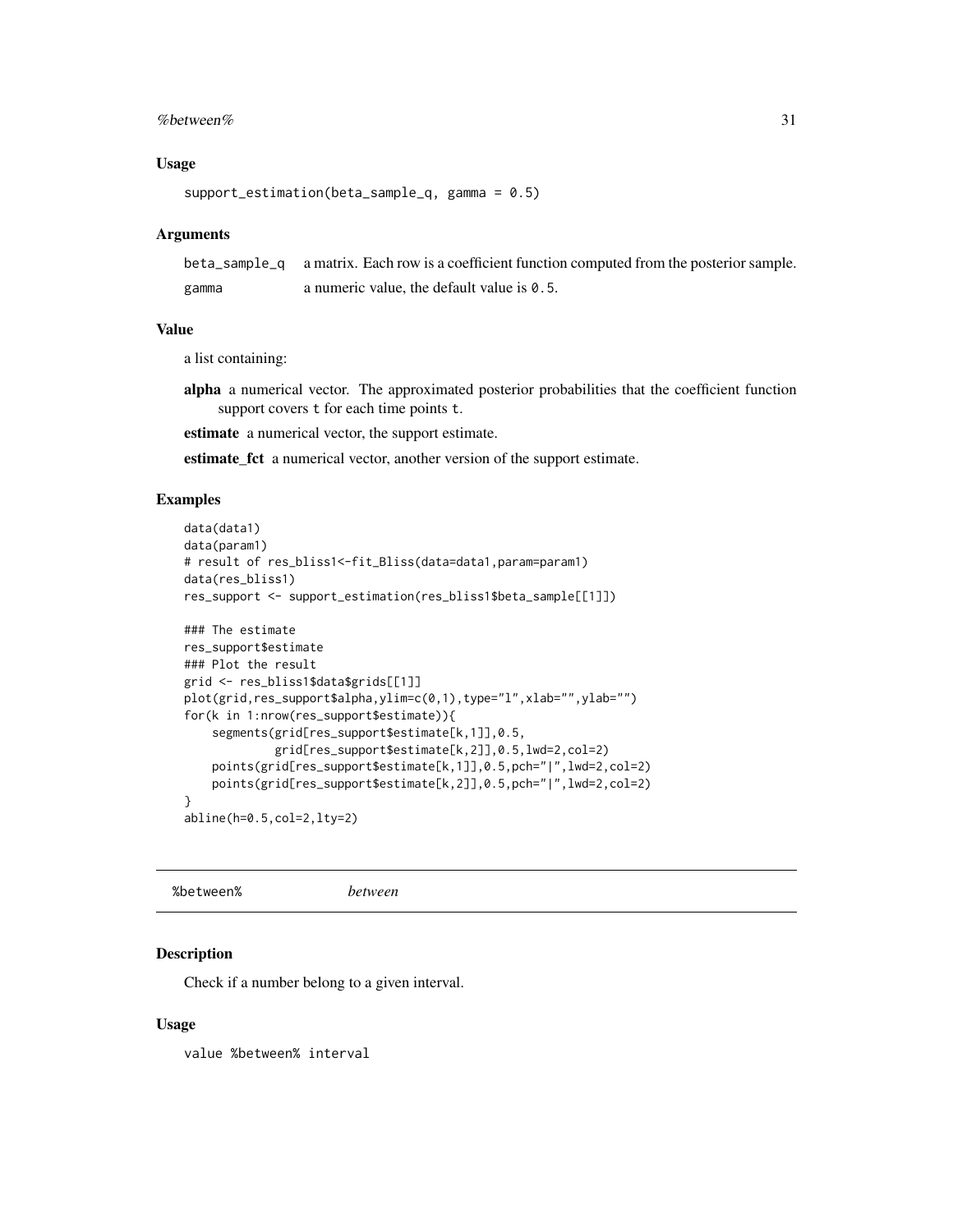#### <span id="page-30-0"></span>% between % 31

#### Usage

```
support_estimation(beta_sample_q, gamma = 0.5)
```
#### Arguments

|       | beta_sample_q a matrix. Each row is a coefficient function computed from the posterior sample. |
|-------|------------------------------------------------------------------------------------------------|
| gamma | a numeric value, the default value is $\theta$ . 5.                                            |

#### Value

a list containing:

alpha a numerical vector. The approximated posterior probabilities that the coefficient function support covers t for each time points t.

estimate a numerical vector, the support estimate.

estimate\_fct a numerical vector, another version of the support estimate.

#### Examples

```
data(data1)
data(param1)
# result of res_bliss1<-fit_Bliss(data=data1,param=param1)
data(res_bliss1)
res_support <- support_estimation(res_bliss1$beta_sample[[1]])
### The estimate
res_support$estimate
### Plot the result
grid <- res_bliss1$data$grids[[1]]
plot(grid,res_support$alpha,ylim=c(0,1),type="l",xlab="",ylab="")
for(k in 1:nrow(res_support$estimate)){
    segments(grid[res_support$estimate[k,1]],0.5,
             grid[res_support$estimate[k,2]],0.5,lwd=2,col=2)
    points(grid[res_support$estimate[k,1]],0.5,pch="|",lwd=2,col=2)
    points(grid[res_support$estimate[k,2]],0.5,pch="|",lwd=2,col=2)
}
abline(h=0.5,col=2,lty=2)
```
%between% *between*

Description

Check if a number belong to a given interval.

#### Usage

value %between% interval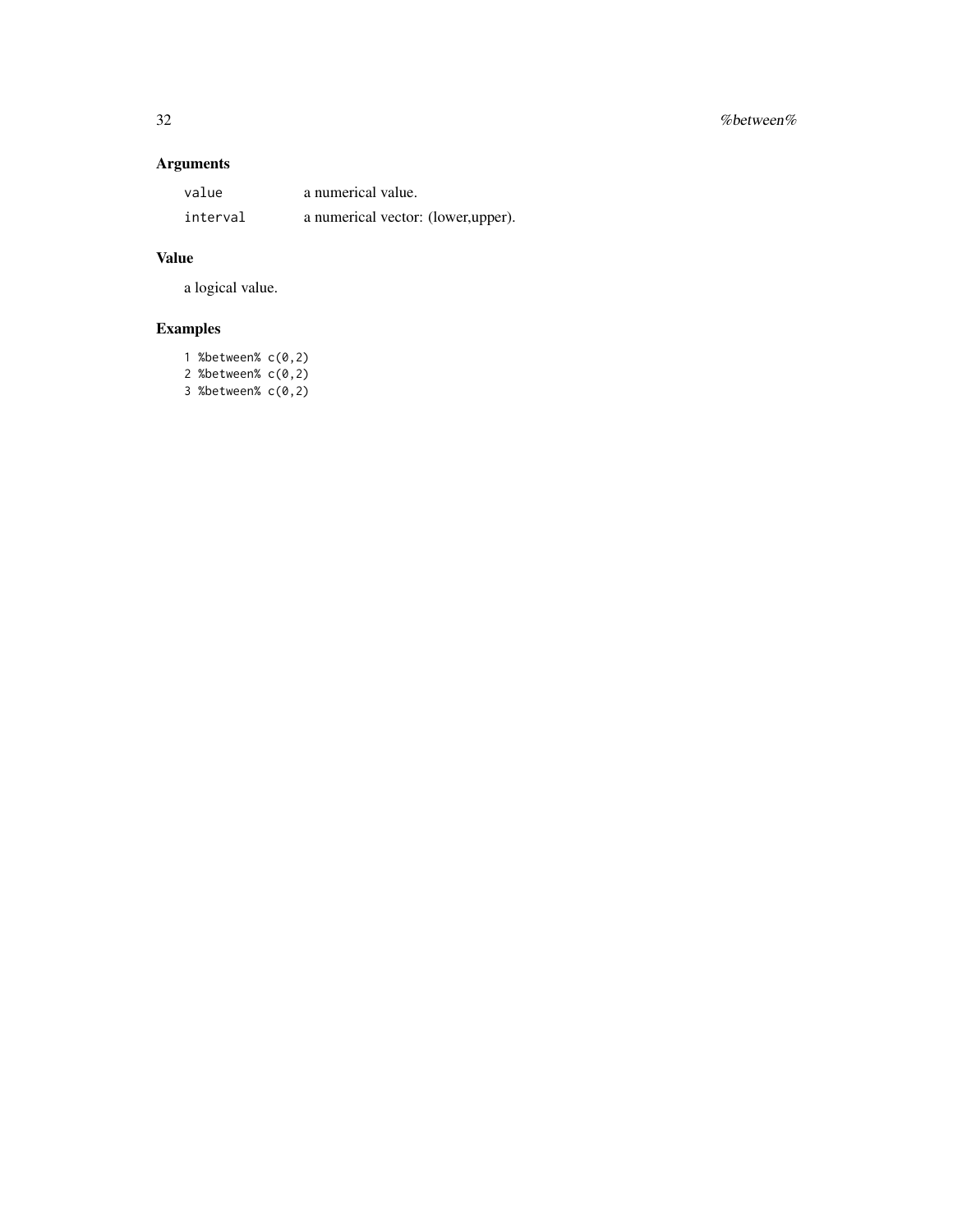# 32 %between%

# Arguments

| value    | a numerical value.                 |
|----------|------------------------------------|
| interval | a numerical vector: (lower,upper). |

# Value

a logical value.

| 1 % between $C(0, 2)$ |  |
|-----------------------|--|
| 2 % between $C(0, 2)$ |  |
| 3 % between $C(0, 2)$ |  |